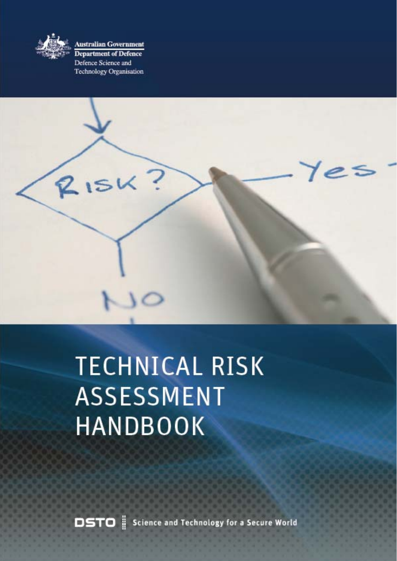

**Australian Government Department of Defence** Defence Science and **Technology Organisation** 



# **TECHNICAL RISK ASSESSMENT HANDBOOK**

**DSTO** Science and Technology for a Secure World

Technical Risk Assessment Handbook Version 1.1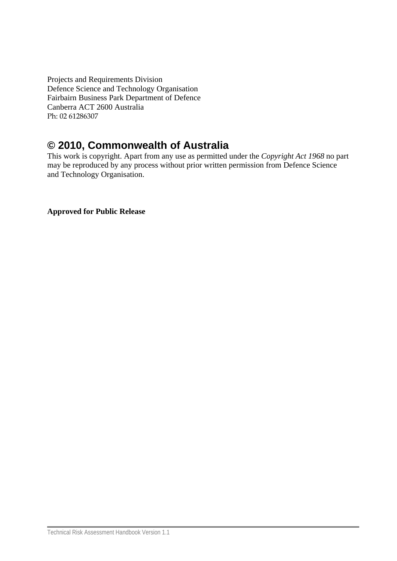Projects and Requirements Division Defence Science and Technology Organisation Fairbairn Business Park Department of Defence Canberra ACT 2600 Australia Ph: 02 61286307

## **© 2010, Commonwealth of Australia**

This work is copyright. Apart from any use as permitted under the *Copyright Act 1968* no part may be reproduced by any process without prior written permission from Defence Science and Technology Organisation.

**Approved for Public Release**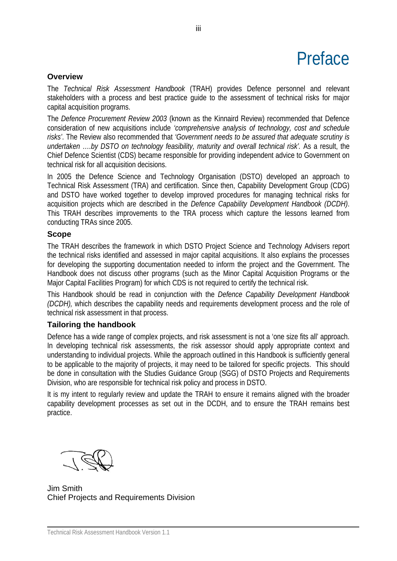## **Preface**

#### <span id="page-2-0"></span>**Overview**

The *Technical Risk Assessment Handbook* (TRAH) provides Defence personnel and relevant stakeholders with a process and best practice guide to the assessment of technical risks for major capital acquisition programs.

The *Defence Procurement Review 2003* (known as the Kinnaird Review) recommended that Defence consideration of new acquisitions include *'comprehensive analysis of technology, cost and schedule risks'*. The Review also recommended that *'Government needs to be assured that adequate scrutiny is undertaken ….by DSTO on technology feasibility, maturity and overall technical risk'.* As a result, the Chief Defence Scientist (CDS) became responsible for providing independent advice to Government on technical risk for all acquisition decisions.

In 2005 the Defence Science and Technology Organisation (DSTO) developed an approach to Technical Risk Assessment (TRA) and certification. Since then, Capability Development Group (CDG) and DSTO have worked together to develop improved procedures for managing technical risks for acquisition projects which are described in the *Defence Capability Development Handbook (DCDH)*. This TRAH describes improvements to the TRA process which capture the lessons learned from conducting TRAs since 2005.

#### **Scope**

The TRAH describes the framework in which DSTO Project Science and Technology Advisers report the technical risks identified and assessed in major capital acquisitions. It also explains the processes for developing the supporting documentation needed to inform the project and the Government. The Handbook does not discuss other programs (such as the Minor Capital Acquisition Programs or the Major Capital Facilities Program) for which CDS is not required to certify the technical risk.

This Handbook should be read in conjunction with the *Defence Capability Development Handbook (DCDH),* which describes the capability needs and requirements development process and the role of technical risk assessment in that process.

#### **Tailoring the handbook**

Defence has a wide range of complex projects, and risk assessment is not a 'one size fits all' approach. In developing technical risk assessments, the risk assessor should apply appropriate context and understanding to individual projects. While the approach outlined in this Handbook is sufficiently general to be applicable to the majority of projects, it may need to be tailored for specific projects. This should be done in consultation with the Studies Guidance Group (SGG) of DSTO Projects and Requirements Division, who are responsible for technical risk policy and process in DSTO.

It is my intent to regularly review and update the TRAH to ensure it remains aligned with the broader capability development processes as set out in the DCDH, and to ensure the TRAH remains best practice.

Jim Smith Chief Projects and Requirements Division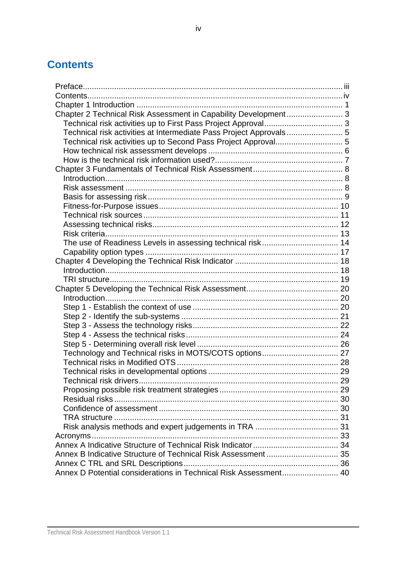## <span id="page-3-0"></span>**Contents**

| Chapter 2 Technical Risk Assessment in Capability Development 3    |  |
|--------------------------------------------------------------------|--|
|                                                                    |  |
| Technical risk activities at Intermediate Pass Project Approvals 5 |  |
|                                                                    |  |
|                                                                    |  |
|                                                                    |  |
|                                                                    |  |
|                                                                    |  |
|                                                                    |  |
|                                                                    |  |
|                                                                    |  |
|                                                                    |  |
|                                                                    |  |
|                                                                    |  |
| The use of Readiness Levels in assessing technical risk 14         |  |
|                                                                    |  |
|                                                                    |  |
|                                                                    |  |
|                                                                    |  |
|                                                                    |  |
|                                                                    |  |
|                                                                    |  |
|                                                                    |  |
|                                                                    |  |
|                                                                    |  |
|                                                                    |  |
| Technology and Technical risks in MOTS/COTS options 27             |  |
|                                                                    |  |
|                                                                    |  |
|                                                                    |  |
|                                                                    |  |
|                                                                    |  |
|                                                                    |  |
|                                                                    |  |
|                                                                    |  |
|                                                                    |  |
|                                                                    |  |
|                                                                    |  |
|                                                                    |  |
| Annex D Potential considerations in Technical Risk Assessment 40   |  |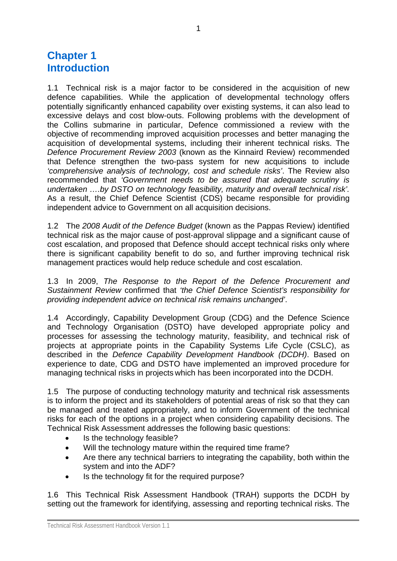#### <span id="page-4-0"></span>**Chapter 1 Introduction**

1.1 Technical risk is a major factor to be considered in the acquisition of new defence capabilities. While the application of developmental technology offers potentially significantly enhanced capability over existing systems, it can also lead to excessive delays and cost blow-outs. Following problems with the development of the Collins submarine in particular, Defence commissioned a review with the objective of recommending improved acquisition processes and better managing the acquisition of developmental systems, including their inherent technical risks. The *Defence Procurement Review 2003* (known as the Kinnaird Review) recommended that Defence strengthen the two-pass system for new acquisitions to include *'comprehensive analysis of technology, cost and schedule risks'*. The Review also recommended that *'Government needs to be assured that adequate scrutiny is undertaken ….by DSTO on technology feasibility, maturity and overall technical risk'.* As a result, the Chief Defence Scientist (CDS) became responsible for providing independent advice to Government on all acquisition decisions.

1.2 The *2008 Audit of the Defence Budget* (known as the Pappas Review) identified technical risk as the major cause of post-approval slippage and a significant cause of cost escalation, and proposed that Defence should accept technical risks only where there is significant capability benefit to do so, and further improving technical risk management practices would help reduce schedule and cost escalation.

1.3 In 2009, *The Response to the Report of the Defence Procurement and Sustainment Review* confirmed that *'the Chief Defence Scientist's responsibility for providing independent advice on technical risk remains unchanged'*.

1.4 Accordingly, Capability Development Group (CDG) and the Defence Science and Technology Organisation (DSTO) have developed appropriate policy and processes for assessing the technology maturity, feasibility, and technical risk of projects at appropriate points in the Capability Systems Life Cycle (CSLC), as described in the *Defence Capability Development Handbook (DCDH)*. Based on experience to date, CDG and DSTO have implemented an improved procedure for managing technical risks in projects which has been incorporated into the DCDH.

1.5 The purpose of conducting technology maturity and technical risk assessments is to inform the project and its stakeholders of potential areas of risk so that they can be managed and treated appropriately, and to inform Government of the technical risks for each of the options in a project when considering capability decisions. The Technical Risk Assessment addresses the following basic questions:

- Is the technology feasible?
- Will the technology mature within the required time frame?
- Are there any technical barriers to integrating the capability, both within the system and into the ADF?
- Is the technology fit for the required purpose?

1.6 This Technical Risk Assessment Handbook (TRAH) supports the DCDH by setting out the framework for identifying, assessing and reporting technical risks. The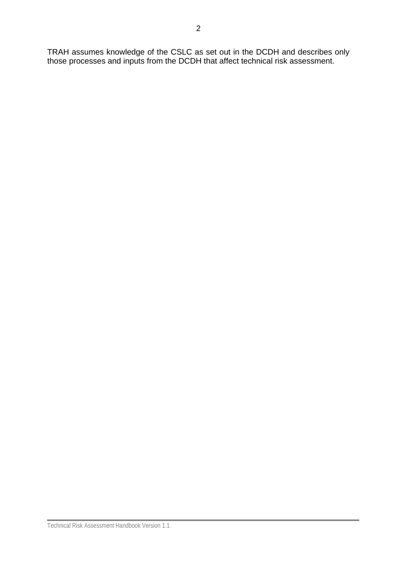TRAH assumes knowledge of the CSLC as set out in the DCDH and describes only those processes and inputs from the DCDH that affect technical risk assessment.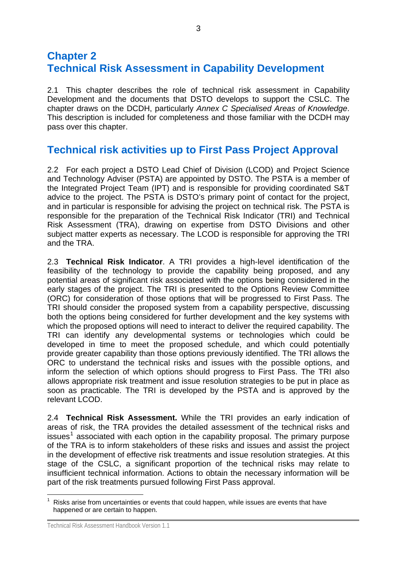#### <span id="page-6-0"></span>**Chapter 2 Technical Risk Assessment in Capability Development**

2.1 This chapter describes the role of technical risk assessment in Capability Development and the documents that DSTO develops to support the CSLC. The chapter draws on the DCDH, particularly *Annex C Specialised Areas of Knowledge*. This description is included for completeness and those familiar with the DCDH may pass over this chapter.

#### **Technical risk activities up to First Pass Project Approval**

2.2 For each project a DSTO Lead Chief of Division (LCOD) and Project Science and Technology Adviser (PSTA) are appointed by DSTO. The PSTA is a member of the Integrated Project Team (IPT) and is responsible for providing coordinated S&T advice to the project. The PSTA is DSTO's primary point of contact for the project, and in particular is responsible for advising the project on technical risk. The PSTA is responsible for the preparation of the Technical Risk Indicator (TRI) and Technical Risk Assessment (TRA), drawing on expertise from DSTO Divisions and other subject matter experts as necessary. The LCOD is responsible for approving the TRI and the TRA.

2.3 **Technical Risk Indicator**. A TRI provides a high-level identification of the feasibility of the technology to provide the capability being proposed, and any potential areas of significant risk associated with the options being considered in the early stages of the project. The TRI is presented to the Options Review Committee (ORC) for consideration of those options that will be progressed to First Pass. The TRI should consider the proposed system from a capability perspective, discussing both the options being considered for further development and the key systems with which the proposed options will need to interact to deliver the required capability. The TRI can identify any developmental systems or technologies which could be developed in time to meet the proposed schedule, and which could potentially provide greater capability than those options previously identified. The TRI allows the ORC to understand the technical risks and issues with the possible options, and inform the selection of which options should progress to First Pass. The TRI also allows appropriate risk treatment and issue resolution strategies to be put in place as soon as practicable. The TRI is developed by the PSTA and is approved by the relevant LCOD.

2.4 **Technical Risk Assessment.** While the TRI provides an early indication of areas of risk, the TRA provides the detailed assessment of the technical risks and issues<sup>[1](#page-6-1)</sup> associated with each option in the capability proposal. The primary purpose of the TRA is to inform stakeholders of these risks and issues and assist the project in the development of effective risk treatments and issue resolution strategies. At this stage of the CSLC, a significant proportion of the technical risks may relate to insufficient technical information. Actions to obtain the necessary information will be part of the risk treatments pursued following First Pass approval.

1

<span id="page-6-1"></span><sup>1</sup> Risks arise from uncertainties or events that could happen, while issues are events that have happened or are certain to happen.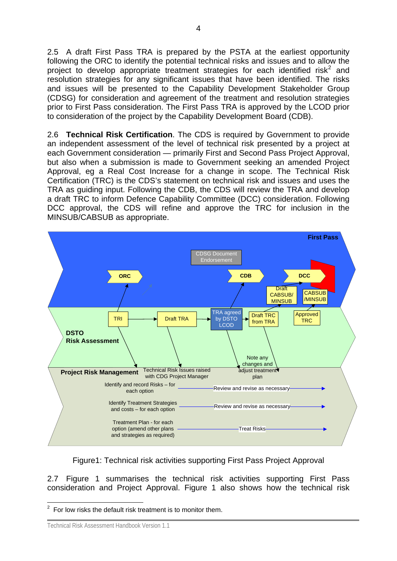2.5 A draft First Pass TRA is prepared by the PSTA at the earliest opportunity following the ORC to identify the potential technical risks and issues and to allow the project to develop appropriate treatment strategies for each identified risk<sup>[2](#page-7-0)</sup> and resolution strategies for any significant issues that have been identified. The risks and issues will be presented to the Capability Development Stakeholder Group (CDSG) for consideration and agreement of the treatment and resolution strategies prior to First Pass consideration. The First Pass TRA is approved by the LCOD prior to consideration of the project by the Capability Development Board (CDB).

2.6 **Technical Risk Certification**. The CDS is required by Government to provide an independent assessment of the level of technical risk presented by a project at each Government consideration — primarily First and Second Pass Project Approval, but also when a submission is made to Government seeking an amended Project Approval, eg a Real Cost Increase for a change in scope. The Technical Risk Certification (TRC) is the CDS's statement on technical risk and issues and uses the TRA as guiding input. Following the CDB, the CDS will review the TRA and develop a draft TRC to inform Defence Capability Committee (DCC) consideration. Following DCC approval, the CDS will refine and approve the TRC for inclusion in the MINSUB/CABSUB as appropriate.



Figure1: Technical risk activities supporting First Pass Project Approval

2.7 Figure 1 summarises the technical risk activities supporting First Pass consideration and Project Approval. Figure 1 also shows how the technical risk

<span id="page-7-0"></span><sup>1</sup>  $2$  For low risks the default risk treatment is to monitor them.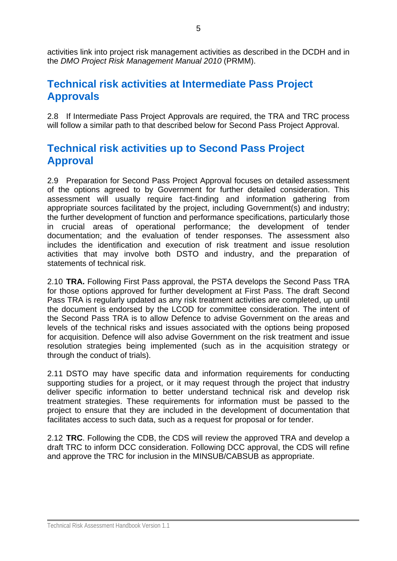<span id="page-8-0"></span>activities link into project risk management activities as described in the DCDH and in the *DMO Project Risk Management Manual 2010* (PRMM).

#### **Technical risk activities at Intermediate Pass Project Approvals**

2.8 If Intermediate Pass Project Approvals are required, the TRA and TRC process will follow a similar path to that described below for Second Pass Project Approval.

#### **Technical risk activities up to Second Pass Project Approval**

2.9 Preparation for Second Pass Project Approval focuses on detailed assessment of the options agreed to by Government for further detailed consideration. This assessment will usually require fact-finding and information gathering from appropriate sources facilitated by the project, including Government(s) and industry; the further development of function and performance specifications, particularly those in crucial areas of operational performance; the development of tender documentation; and the evaluation of tender responses. The assessment also includes the identification and execution of risk treatment and issue resolution activities that may involve both DSTO and industry, and the preparation of statements of technical risk.

2.10 **TRA.** Following First Pass approval, the PSTA develops the Second Pass TRA for those options approved for further development at First Pass. The draft Second Pass TRA is regularly updated as any risk treatment activities are completed, up until the document is endorsed by the LCOD for committee consideration. The intent of the Second Pass TRA is to allow Defence to advise Government on the areas and levels of the technical risks and issues associated with the options being proposed for acquisition. Defence will also advise Government on the risk treatment and issue resolution strategies being implemented (such as in the acquisition strategy or through the conduct of trials).

2.11 DSTO may have specific data and information requirements for conducting supporting studies for a project, or it may request through the project that industry deliver specific information to better understand technical risk and develop risk treatment strategies. These requirements for information must be passed to the project to ensure that they are included in the development of documentation that facilitates access to such data, such as a request for proposal or for tender.

2.12 **TRC**. Following the CDB, the CDS will review the approved TRA and develop a draft TRC to inform DCC consideration. Following DCC approval, the CDS will refine and approve the TRC for inclusion in the MINSUB/CABSUB as appropriate.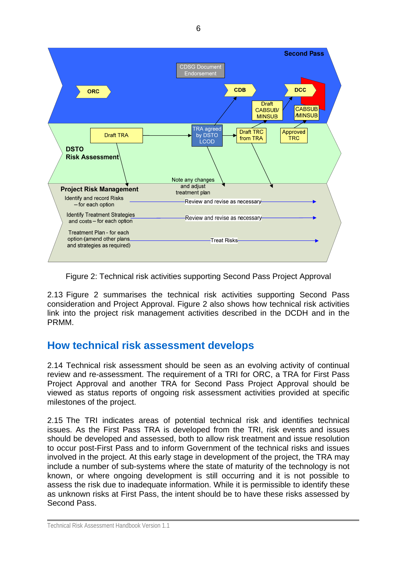<span id="page-9-0"></span>

Figure 2: Technical risk activities supporting Second Pass Project Approval

2.13 Figure 2 summarises the technical risk activities supporting Second Pass consideration and Project Approval. Figure 2 also shows how technical risk activities link into the project risk management activities described in the DCDH and in the PRMM.

#### **How technical risk assessment develops**

2.14 Technical risk assessment should be seen as an evolving activity of continual review and re-assessment. The requirement of a TRI for ORC, a TRA for First Pass Project Approval and another TRA for Second Pass Project Approval should be viewed as status reports of ongoing risk assessment activities provided at specific milestones of the project.

2.15 The TRI indicates areas of potential technical risk and identifies technical issues. As the First Pass TRA is developed from the TRI, risk events and issues should be developed and assessed, both to allow risk treatment and issue resolution to occur post-First Pass and to inform Government of the technical risks and issues involved in the project. At this early stage in development of the project, the TRA may include a number of sub-systems where the state of maturity of the technology is not known, or where ongoing development is still occurring and it is not possible to assess the risk due to inadequate information. While it is permissible to identify these as unknown risks at First Pass, the intent should be to have these risks assessed by Second Pass.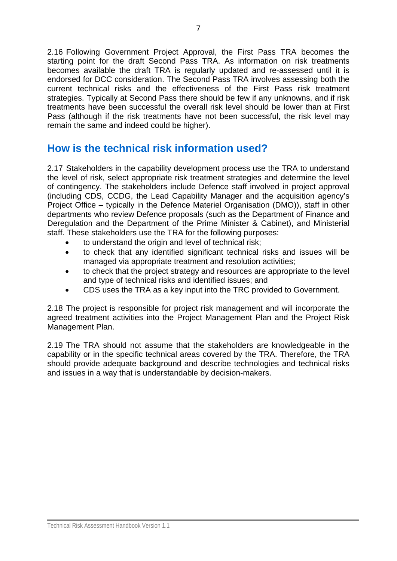<span id="page-10-0"></span>2.16 Following Government Project Approval, the First Pass TRA becomes the starting point for the draft Second Pass TRA. As information on risk treatments becomes available the draft TRA is regularly updated and re-assessed until it is endorsed for DCC consideration. The Second Pass TRA involves assessing both the current technical risks and the effectiveness of the First Pass risk treatment strategies. Typically at Second Pass there should be few if any unknowns, and if risk treatments have been successful the overall risk level should be lower than at First Pass (although if the risk treatments have not been successful, the risk level may remain the same and indeed could be higher).

#### **How is the technical risk information used?**

2.17 Stakeholders in the capability development process use the TRA to understand the level of risk, select appropriate risk treatment strategies and determine the level of contingency. The stakeholders include Defence staff involved in project approval (including CDS, CCDG, the Lead Capability Manager and the acquisition agency's Project Office – typically in the Defence Materiel Organisation (DMO)), staff in other departments who review Defence proposals (such as the Department of Finance and Deregulation and the Department of the Prime Minister & Cabinet), and Ministerial staff. These stakeholders use the TRA for the following purposes:

- to understand the origin and level of technical risk;
- to check that any identified significant technical risks and issues will be managed via appropriate treatment and resolution activities;
- to check that the project strategy and resources are appropriate to the level and type of technical risks and identified issues; and
- CDS uses the TRA as a key input into the TRC provided to Government.

2.18 The project is responsible for project risk management and will incorporate the agreed treatment activities into the Project Management Plan and the Project Risk Management Plan.

2.19 The TRA should not assume that the stakeholders are knowledgeable in the capability or in the specific technical areas covered by the TRA. Therefore, the TRA should provide adequate background and describe technologies and technical risks and issues in a way that is understandable by decision-makers.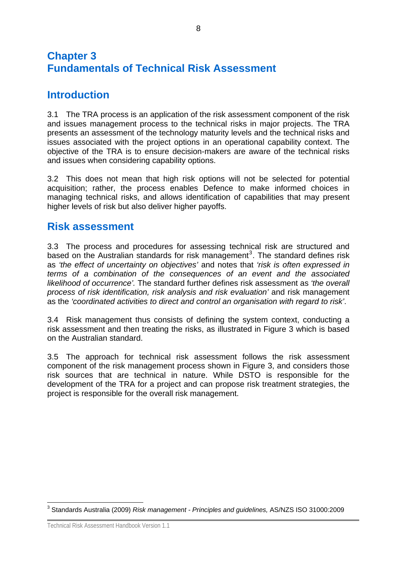#### <span id="page-11-0"></span>**Chapter 3 Fundamentals of Technical Risk Assessment**

#### **Introduction**

3.1 The TRA process is an application of the risk assessment component of the risk and issues management process to the technical risks in major projects. The TRA presents an assessment of the technology maturity levels and the technical risks and issues associated with the project options in an operational capability context. The objective of the TRA is to ensure decision-makers are aware of the technical risks and issues when considering capability options.

3.2 This does not mean that high risk options will not be selected for potential acquisition; rather, the process enables Defence to make informed choices in managing technical risks, and allows identification of capabilities that may present higher levels of risk but also deliver higher payoffs.

#### **Risk assessment**

3.3 The process and procedures for assessing technical risk are structured and based on the Australian standards for risk management<sup>[3](#page-11-1)</sup>. The standard defines risk as *'the effect of uncertainty on objectives'* and notes that *'risk is often expressed in terms of a combination of the consequences of an event and the associated likelihood of occurrence'.* The standard further defines risk assessment as *'the overall process of risk identification, risk analysis and risk evaluation'* and risk management as the *'coordinated activities to direct and control an organisation with regard to risk'*.

3.4 Risk management thus consists of defining the system context, conducting a risk assessment and then treating the risks, as illustrated in Figure 3 which is based on the Australian standard.

3.5 The approach for technical risk assessment follows the risk assessment component of the risk management process shown in Figure 3, and considers those risk sources that are technical in nature. While DSTO is responsible for the development of the TRA for a project and can propose risk treatment strategies, the project is responsible for the overall risk management.

<span id="page-11-1"></span><sup>1</sup> 3 Standards Australia (2009) *Risk management - Principles and guidelines,* AS/NZS ISO 31000:2009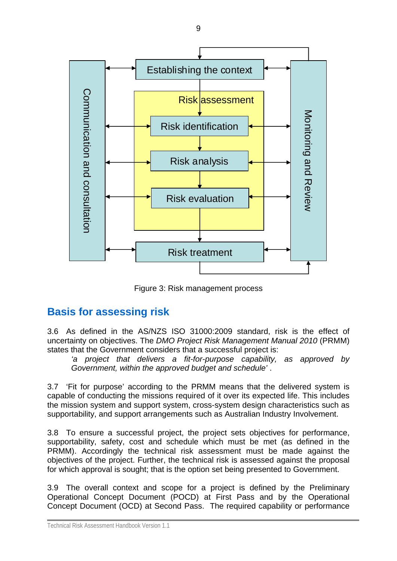<span id="page-12-0"></span>

Figure 3: Risk management process

## **Basis for assessing risk**

3.6 As defined in the AS/NZS ISO 31000:2009 standard, risk is the effect of uncertainty on objectives. The *DMO Project Risk Management Manual 2010* (PRMM) states that the Government considers that a successful project is:

*'a project that delivers a fit-for-purpose capability, as approved by Government, within the approved budget and schedule'* .

3.7 'Fit for purpose' according to the PRMM means that the delivered system is capable of conducting the missions required of it over its expected life. This includes the mission system and support system, cross-system design characteristics such as supportability, and support arrangements such as Australian Industry Involvement.

3.8 To ensure a successful project, the project sets objectives for performance, supportability, safety, cost and schedule which must be met (as defined in the PRMM). Accordingly the technical risk assessment must be made against the objectives of the project. Further, the technical risk is assessed against the proposal for which approval is sought; that is the option set being presented to Government.

3.9 The overall context and scope for a project is defined by the Preliminary Operational Concept Document (POCD) at First Pass and by the Operational Concept Document (OCD) at Second Pass. The required capability or performance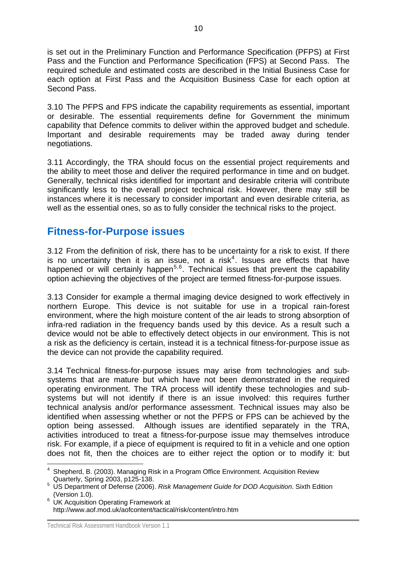<span id="page-13-0"></span>is set out in the Preliminary Function and Performance Specification (PFPS) at First Pass and the Function and Performance Specification (FPS) at Second Pass. The required schedule and estimated costs are described in the Initial Business Case for each option at First Pass and the Acquisition Business Case for each option at Second Pass.

3.10 The PFPS and FPS indicate the capability requirements as essential, important or desirable. The essential requirements define for Government the minimum capability that Defence commits to deliver within the approved budget and schedule. Important and desirable requirements may be traded away during tender negotiations.

3.11 Accordingly, the TRA should focus on the essential project requirements and the ability to meet those and deliver the required performance in time and on budget. Generally, technical risks identified for important and desirable criteria will contribute significantly less to the overall project technical risk. However, there may still be instances where it is necessary to consider important and even desirable criteria, as well as the essential ones, so as to fully consider the technical risks to the project.

#### **Fitness-for-Purpose issues**

3.12 From the definition of risk, there has to be uncertainty for a risk to exist. If there is no uncertainty then it is an issue, not a risk<sup>[4](#page-13-1)</sup>. Issues are effects that have happened or will certainly happen<sup>[5](#page-13-2),[6](#page-13-3)</sup>. Technical issues that prevent the capability option achieving the objectives of the project are termed fitness-for-purpose issues.

3.13 Consider for example a thermal imaging device designed to work effectively in northern Europe. This device is not suitable for use in a tropical rain-forest environment, where the high moisture content of the air leads to strong absorption of infra-red radiation in the frequency bands used by this device. As a result such a device would not be able to effectively detect objects in our environment. This is not a risk as the deficiency is certain, instead it is a technical fitness-for-purpose issue as the device can not provide the capability required.

3.14 Technical fitness-for-purpose issues may arise from technologies and subsystems that are mature but which have not been demonstrated in the required operating environment. The TRA process will identify these technologies and subsystems but will not identify if there is an issue involved: this requires further technical analysis and/or performance assessment. Technical issues may also be identified when assessing whether or not the PFPS or FPS can be achieved by the option being assessed. Although issues are identified separately in the TRA, activities introduced to treat a fitness-for-purpose issue may themselves introduce risk. For example, if a piece of equipment is required to fit in a vehicle and one option does not fit, then the choices are to either reject the option or to modify it: but

<span id="page-13-3"></span>(Version 1.0). 6 UK Acquisition Operating Framework at http://www.aof.mod.uk/aofcontent/tactical/risk/content/intro.htm

<span id="page-13-1"></span> 4 Shepherd, B. (2003). Managing Risk in a Program Office Environment. Acquisition Review Quarterly, Spring 2003, p125-138. 5

<span id="page-13-2"></span>US Department of Defense (2006). *Risk Management Guide for DOD Acquisition*. Sixth Edition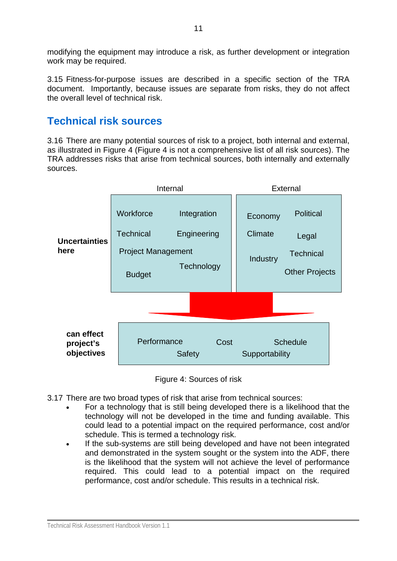<span id="page-14-0"></span>modifying the equipment may introduce a risk, as further development or integration work may be required.

3.15 Fitness-for-purpose issues are described in a specific section of the TRA document. Importantly, because issues are separate from risks, they do not affect the overall level of technical risk.

#### **Technical risk sources**

3.16 There are many potential sources of risk to a project, both internal and external, as illustrated in Figure 4 (Figure 4 is not a comprehensive list of all risk sources). The TRA addresses risks that arise from technical sources, both internally and externally sources.



|  | Figure 4: Sources of risk |  |
|--|---------------------------|--|
|--|---------------------------|--|

- 3.17 There are two broad types of risk that arise from technical sources:
	- For a technology that is still being developed there is a likelihood that the technology will not be developed in the time and funding available. This could lead to a potential impact on the required performance, cost and/or schedule. This is termed a technology risk.
	- If the sub-systems are still being developed and have not been integrated and demonstrated in the system sought or the system into the ADF, there is the likelihood that the system will not achieve the level of performance required. This could lead to a potential impact on the required performance, cost and/or schedule. This results in a technical risk.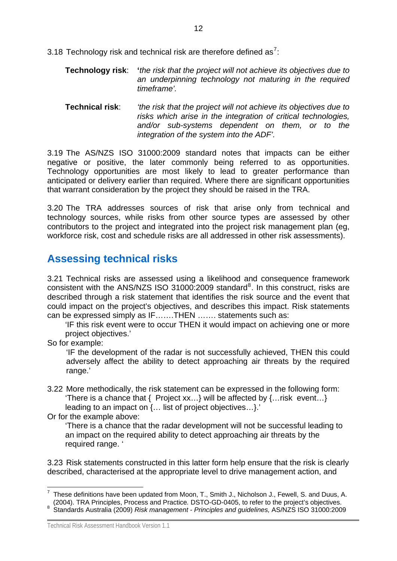<span id="page-15-0"></span>3.18 Technology risk and technical risk are therefore defined as<sup>[7](#page-15-1)</sup>:

- **Technology risk**: **'***the risk that the project will not achieve its objectives due to an underpinning technology not maturing in the required timeframe'.*
- **Technical risk**: *'the risk that the project will not achieve its objectives due to risks which arise in the integration of critical technologies, and/or sub-systems dependent on them, or to the integration of the system into the ADF'.*

3.19 The AS/NZS ISO 31000:2009 standard notes that impacts can be either negative or positive, the later commonly being referred to as opportunities. Technology opportunities are most likely to lead to greater performance than anticipated or delivery earlier than required. Where there are significant opportunities that warrant consideration by the project they should be raised in the TRA.

3.20 The TRA addresses sources of risk that arise only from technical and technology sources, while risks from other source types are assessed by other contributors to the project and integrated into the project risk management plan (eg, workforce risk, cost and schedule risks are all addressed in other risk assessments).

#### **Assessing technical risks**

3.21 Technical risks are assessed using a likelihood and consequence framework consistent with the ANS/NZS ISO 31000:2009 standard<sup>[8](#page-15-2)</sup>. In this construct, risks are described through a risk statement that identifies the risk source and the event that could impact on the project's objectives, and describes this impact. Risk statements can be expressed simply as IF…….THEN ……. statements such as:

'IF this risk event were to occur THEN it would impact on achieving one or more project objectives.'

So for example:

'IF the development of the radar is not successfully achieved, THEN this could adversely affect the ability to detect approaching air threats by the required range.'

3.22 More methodically, the risk statement can be expressed in the following form: 'There is a chance that  $\{$  Project xx... } will be affected by  $\{$ ... risk event... } leading to an impact on {… list of project objectives…}.'

Or for the example above:

'There is a chance that the radar development will not be successful leading to an impact on the required ability to detect approaching air threats by the required range. '

3.23 Risk statements constructed in this latter form help ensure that the risk is clearly described, characterised at the appropriate level to drive management action, and

<span id="page-15-1"></span> 7 These definitions have been updated from Moon, T., Smith J., Nicholson J., Fewell, S. and Duus, A. (2004). TRA Principles, Process and Practice*.* DSTO-GD-0405, to refer to the project's objectives. 8

<span id="page-15-2"></span>Standards Australia (2009) *Risk management - Principles and guidelines,* AS/NZS ISO 31000:2009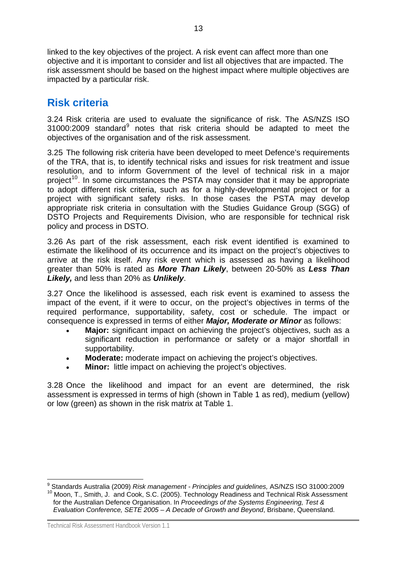<span id="page-16-0"></span>linked to the key objectives of the project. A risk event can affect more than one objective and it is important to consider and list all objectives that are impacted. The risk assessment should be based on the highest impact where multiple objectives are impacted by a particular risk.

#### **Risk criteria**

3.24 Risk criteria are used to evaluate the significance of risk. The AS/NZS ISO  $31000:2009$  $31000:2009$  standard $9$  notes that risk criteria should be adapted to meet the objectives of the organisation and of the risk assessment.

3.25 The following risk criteria have been developed to meet Defence's requirements of the TRA, that is, to identify technical risks and issues for risk treatment and issue resolution, and to inform Government of the level of technical risk in a major project<sup>[10](#page-16-2)</sup>. In some circumstances the PSTA may consider that it may be appropriate to adopt different risk criteria, such as for a highly-developmental project or for a project with significant safety risks. In those cases the PSTA may develop appropriate risk criteria in consultation with the Studies Guidance Group (SGG) of DSTO Projects and Requirements Division, who are responsible for technical risk policy and process in DSTO.

3.26 As part of the risk assessment, each risk event identified is examined to estimate the likelihood of its occurrence and its impact on the project's objectives to arrive at the risk itself. Any risk event which is assessed as having a likelihood greater than 50% is rated as *More Than Likely*, between 20-50% as *Less Than Likely,* and less than 20% as *Unlikely*.

3.27 Once the likelihood is assessed, each risk event is examined to assess the impact of the event, if it were to occur, on the project's objectives in terms of the required performance, supportability, safety, cost or schedule. The impact or consequence is expressed in terms of either *Major, Moderate or Minor* as follows:

- **Major:** significant impact on achieving the project's objectives, such as a significant reduction in performance or safety or a major shortfall in supportability.
- **Moderate:** moderate impact on achieving the project's objectives.
- **Minor:** little impact on achieving the project's objectives.

3.28 Once the likelihood and impact for an event are determined, the risk assessment is expressed in terms of high (shown in Table 1 as red), medium (yellow) or low (green) as shown in the risk matrix at Table 1.

1

<span id="page-16-2"></span><span id="page-16-1"></span><sup>9</sup> Standards Australia (2009) *Risk management - Principles and guidelines,* AS/NZS ISO 31000:2009 10 Moon, T., Smith, J. and Cook, S.C. (2005). Technology Readiness and Technical Risk Assessment for the Australian Defence Organisation. In *Proceedings of the Systems Engineering, Test & Evaluation Conference, SETE 2005 – A Decade of Growth and Beyond*, Brisbane, Queensland.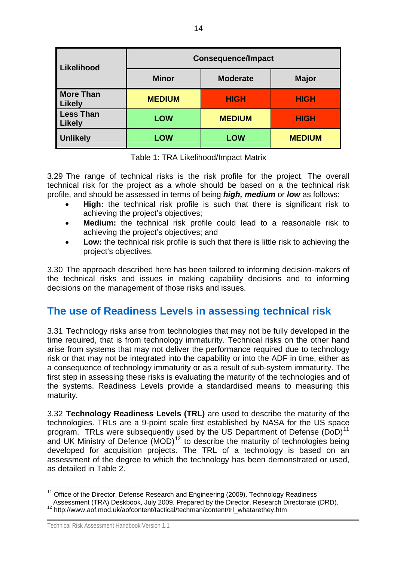<span id="page-17-0"></span>

| Likelihood                        | <b>Consequence/Impact</b>                       |               |               |  |  |  |
|-----------------------------------|-------------------------------------------------|---------------|---------------|--|--|--|
|                                   | <b>Minor</b><br><b>Major</b><br><b>Moderate</b> |               |               |  |  |  |
| <b>More Than</b><br><b>Likely</b> | <b>MEDIUM</b>                                   | <b>HIGH</b>   | <b>HIGH</b>   |  |  |  |
| <b>Less Than</b><br><b>Likely</b> | <b>LOW</b>                                      | <b>MEDIUM</b> | <b>HIGH</b>   |  |  |  |
| <b>Unlikely</b>                   | <b>LOW</b>                                      | <b>LOW</b>    | <b>MEDIUM</b> |  |  |  |

3.29 The range of technical risks is the risk profile for the project. The overall technical risk for the project as a whole should be based on a the technical risk profile, and should be assessed in terms of being *high, medium* or *low* as follows:

- **High:** the technical risk profile is such that there is significant risk to achieving the project's objectives;
- **Medium:** the technical risk profile could lead to a reasonable risk to achieving the project's objectives; and
- **Low:** the technical risk profile is such that there is little risk to achieving the project's objectives.

3.30 The approach described here has been tailored to informing decision-makers of the technical risks and issues in making capability decisions and to informing decisions on the management of those risks and issues.

#### **The use of Readiness Levels in assessing technical risk**

3.31 Technology risks arise from technologies that may not be fully developed in the time required, that is from technology immaturity. Technical risks on the other hand arise from systems that may not deliver the performance required due to technology risk or that may not be integrated into the capability or into the ADF in time, either as a consequence of technology immaturity or as a result of sub-system immaturity. The first step in assessing these risks is evaluating the maturity of the technologies and of the systems. Readiness Levels provide a standardised means to measuring this maturity.

3.32 **Technology Readiness Levels (TRL)** are used to describe the maturity of the technologies. TRLs are a 9-point scale first established by NASA for the US space program. TRLs were subsequently used by the US Department of Defense (DoD)<sup>[11](#page-17-1)</sup> and UK Ministry of Defence  $(MOD)^{12}$  $(MOD)^{12}$  $(MOD)^{12}$  to describe the maturity of technologies being developed for acquisition projects. The TRL of a technology is based on an assessment of the degree to which the technology has been demonstrated or used, as detailed in Table 2.

<span id="page-17-1"></span><sup>1</sup>  $11$  Office of the Director, Defense Research and Engineering (2009). Technology Readiness

Assessment (TRA) Deskbook, July 2009. Prepared by the Director, Research Directorate (DRD).<br><sup>12</sup> http://www.aof.mod.uk/aofcontent/tactical/techman/content/trl\_whatarethey.htm

<span id="page-17-2"></span>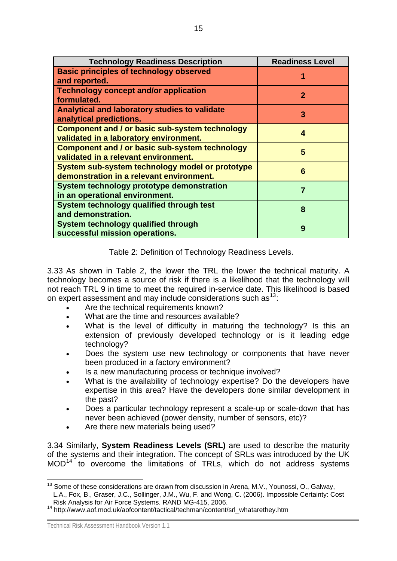| <b>Technology Readiness Description</b>                                                         | <b>Readiness Level</b> |
|-------------------------------------------------------------------------------------------------|------------------------|
| <b>Basic principles of technology observed</b><br>and reported.                                 |                        |
| <b>Technology concept and/or application</b><br>formulated.                                     | $\mathbf{2}$           |
| Analytical and laboratory studies to validate<br>analytical predictions.                        | 3                      |
| <b>Component and / or basic sub-system technology</b><br>validated in a laboratory environment. | 4                      |
| <b>Component and / or basic sub-system technology</b><br>validated in a relevant environment.   | 5                      |
| System sub-system technology model or prototype<br>demonstration in a relevant environment.     | 6                      |
| System technology prototype demonstration<br>in an operational environment.                     |                        |
| System technology qualified through test<br>and demonstration.                                  | 8                      |
| System technology qualified through<br>successful mission operations.                           | 9                      |

Table 2: Definition of Technology Readiness Levels.

3.33 As shown in Table 2, the lower the TRL the lower the technical maturity. A technology becomes a source of risk if there is a likelihood that the technology will not reach TRL 9 in time to meet the required in-service date. This likelihood is based on expert assessment and may include considerations such as  $13$ :

- Are the technical requirements known?
- What are the time and resources available?
- What is the level of difficulty in maturing the technology? Is this an extension of previously developed technology or is it leading edge technology?
- Does the system use new technology or components that have never been produced in a factory environment?
- Is a new manufacturing process or technique involved?
- What is the availability of technology expertise? Do the developers have expertise in this area? Have the developers done similar development in the past?
- Does a particular technology represent a scale-up or scale-down that has never been achieved (power density, number of sensors, etc)?
- Are there new materials being used?

3.34 Similarly, **System Readiness Levels (SRL)** are used to describe the maturity of the systems and their integration. The concept of SRLs was introduced by the UK MOD<sup>[14](#page-18-1)</sup> to overcome the limitations of TRLs, which do not address systems

<span id="page-18-0"></span><sup>1</sup>  $13$  Some of these considerations are drawn from discussion in Arena, M.V., Younossi, O., Galway, L.A., Fox, B., Graser, J.C., Sollinger, J.M., Wu, F. and Wong, C. (2006). Impossible Certainty: Cost

<span id="page-18-1"></span><sup>&</sup>lt;sup>14</sup> http://www.aof.mod.uk/aofcontent/tactical/techman/content/srl\_whatarethey.htm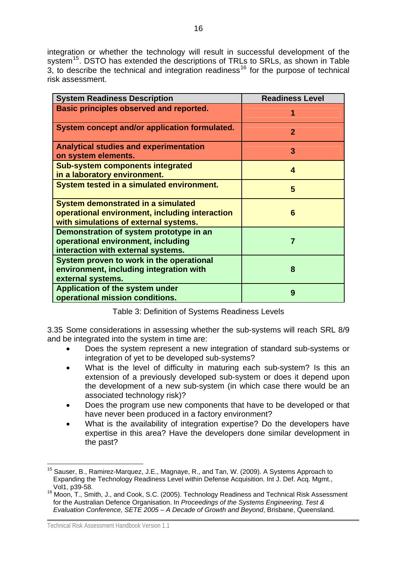integration or whether the technology will result in successful development of the system<sup>[15](#page-19-0)</sup>. DSTO has extended the descriptions of TRLs to SRLs, as shown in Table 3, to describe the technical and integration readiness<sup>[16](#page-19-1)</sup> for the purpose of technical risk assessment.

| <b>System Readiness Description</b>                                                                                           | <b>Readiness Level</b> |
|-------------------------------------------------------------------------------------------------------------------------------|------------------------|
| <b>Basic principles observed and reported.</b>                                                                                |                        |
| System concept and/or application formulated.                                                                                 | $\mathbf{2}$           |
| <b>Analytical studies and experimentation</b><br>on system elements.                                                          | 3                      |
| <b>Sub-system components integrated</b><br>in a laboratory environment.                                                       | 4                      |
| System tested in a simulated environment.                                                                                     | 5                      |
| System demonstrated in a simulated<br>operational environment, including interaction<br>with simulations of external systems. | 6                      |
| Demonstration of system prototype in an<br>operational environment, including<br>interaction with external systems.           | 7                      |
| System proven to work in the operational<br>environment, including integration with<br>external systems.                      | 8                      |
| <b>Application of the system under</b><br>operational mission conditions.                                                     | 9                      |

| Table 3: Definition of Systems Readiness Levels |  |
|-------------------------------------------------|--|
|-------------------------------------------------|--|

3.35 Some considerations in assessing whether the sub-systems will reach SRL 8/9 and be integrated into the system in time are:

- Does the system represent a new integration of standard sub-systems or integration of yet to be developed sub-systems?
- What is the level of difficulty in maturing each sub-system? Is this an extension of a previously developed sub-system or does it depend upon the development of a new sub-system (in which case there would be an associated technology risk)?
- Does the program use new components that have to be developed or that have never been produced in a factory environment?
- What is the availability of integration expertise? Do the developers have expertise in this area? Have the developers done similar development in the past?

<span id="page-19-0"></span><sup>1</sup> <sup>15</sup> Sauser, B., Ramirez-Marquez, J.E., Magnaye, R., and Tan, W. (2009). A Systems Approach to Expanding the Technology Readiness Level within Defense Acquisition. Int J. Def. Acq. Mgmt.,

<span id="page-19-1"></span><sup>&</sup>lt;sup>16</sup> Moon, T., Smith, J., and Cook, S.C. (2005). Technology Readiness and Technical Risk Assessment for the Australian Defence Organisation. In *Proceedings of the Systems Engineering, Test & Evaluation Conference, SETE 2005 – A Decade of Growth and Beyond*, Brisbane, Queensland.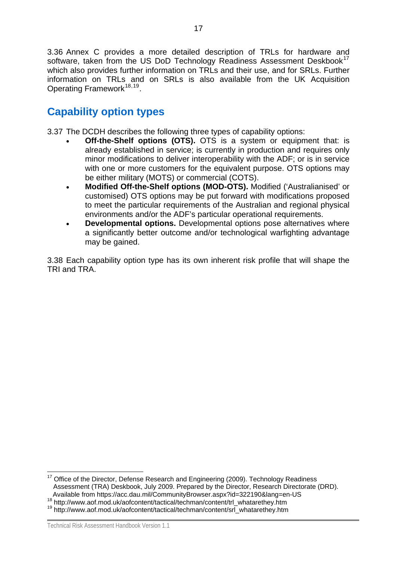<span id="page-20-0"></span>3.36 Annex C provides a more detailed description of TRLs for hardware and software, taken from the US DoD Technology Readiness Assessment Deskbook<sup>[17](#page-20-1)</sup> which also provides further information on TRLs and their use, and for SRLs. Further information on TRLs and on SRLs is also available from the UK Acquisition Operating Framework<sup>[18](#page-20-2),[19](#page-20-3)</sup>.

## **Capability option types**

3.37 The DCDH describes the following three types of capability options:

- **Off-the-Shelf options (OTS).** OTS is a system or equipment that: is already established in service; is currently in production and requires only minor modifications to deliver interoperability with the ADF; or is in service with one or more customers for the equivalent purpose. OTS options may be either military (MOTS) or commercial (COTS).
- **Modified Off-the-Shelf options (MOD-OTS).** Modified ('Australianised' or customised) OTS options may be put forward with modifications proposed to meet the particular requirements of the Australian and regional physical environments and/or the ADF's particular operational requirements.
- **Developmental options.** Developmental options pose alternatives where a significantly better outcome and/or technological warfighting advantage may be gained.

3.38 Each capability option type has its own inherent risk profile that will shape the TRI and TRA.

<span id="page-20-1"></span><sup>1</sup>  $17$  Office of the Director, Defense Research and Engineering (2009). Technology Readiness Assessment (TRA) Deskbook, July 2009. Prepared by the Director, Research Directorate (DRD). Available from https://acc.dau.mil/CommunityBrowser.aspx?id=322190&lang=en-US<br><sup>18</sup> http://www.aof.mod.uk/aofcontent/tactical/techman/content/trl\_whatarethey.htm<br><sup>19</sup> http://www.aof.mod.uk/aofcontent/tactical/techman/conten

<span id="page-20-2"></span>

<span id="page-20-3"></span>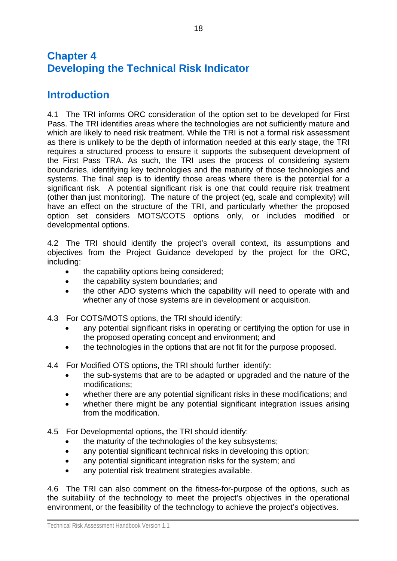#### <span id="page-21-0"></span>**Chapter 4 Developing the Technical Risk Indicator**

#### **Introduction**

4.1 The TRI informs ORC consideration of the option set to be developed for First Pass. The TRI identifies areas where the technologies are not sufficiently mature and which are likely to need risk treatment. While the TRI is not a formal risk assessment as there is unlikely to be the depth of information needed at this early stage, the TRI requires a structured process to ensure it supports the subsequent development of the First Pass TRA. As such, the TRI uses the process of considering system boundaries, identifying key technologies and the maturity of those technologies and systems. The final step is to identify those areas where there is the potential for a significant risk. A potential significant risk is one that could require risk treatment (other than just monitoring). The nature of the project (eg, scale and complexity) will have an effect on the structure of the TRI, and particularly whether the proposed option set considers MOTS/COTS options only, or includes modified or developmental options.

4.2 The TRI should identify the project's overall context, its assumptions and objectives from the Project Guidance developed by the project for the ORC, including:

- the capability options being considered;
- the capability system boundaries; and
- the other ADO systems which the capability will need to operate with and whether any of those systems are in development or acquisition.
- 4.3 For COTS/MOTS options, the TRI should identify:
	- any potential significant risks in operating or certifying the option for use in the proposed operating concept and environment; and
	- the technologies in the options that are not fit for the purpose proposed.
- 4.4 For Modified OTS options, the TRI should further identify:
	- the sub-systems that are to be adapted or upgraded and the nature of the modifications;
	- whether there are any potential significant risks in these modifications; and
	- whether there might be any potential significant integration issues arising from the modification
- 4.5 For Developmental options**,** the TRI should identify:
	- the maturity of the technologies of the key subsystems;
	- any potential significant technical risks in developing this option;
	- any potential significant integration risks for the system; and
	- any potential risk treatment strategies available.

4.6 The TRI can also comment on the fitness-for-purpose of the options, such as the suitability of the technology to meet the project's objectives in the operational environment, or the feasibility of the technology to achieve the project's objectives.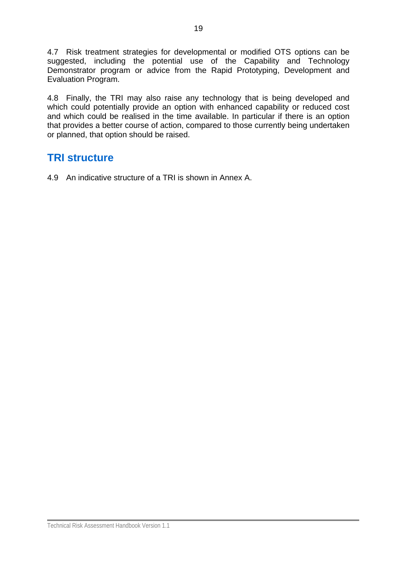<span id="page-22-0"></span>4.7 Risk treatment strategies for developmental or modified OTS options can be suggested, including the potential use of the Capability and Technology Demonstrator program or advice from the Rapid Prototyping, Development and Evaluation Program.

4.8 Finally, the TRI may also raise any technology that is being developed and which could potentially provide an option with enhanced capability or reduced cost and which could be realised in the time available. In particular if there is an option that provides a better course of action, compared to those currently being undertaken or planned, that option should be raised.

#### **TRI structure**

4.9 An indicative structure of a TRI is shown in Annex A.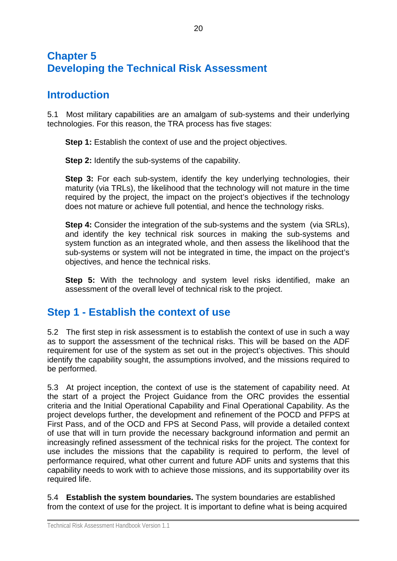## <span id="page-23-0"></span>**Chapter 5 Developing the Technical Risk Assessment**

#### **Introduction**

5.1 Most military capabilities are an amalgam of sub-systems and their underlying technologies. For this reason, the TRA process has five stages:

**Step 1:** Establish the context of use and the project objectives.

**Step 2:** Identify the sub-systems of the capability.

**Step 3:** For each sub-system, identify the key underlying technologies, their maturity (via TRLs), the likelihood that the technology will not mature in the time required by the project, the impact on the project's objectives if the technology does not mature or achieve full potential, and hence the technology risks.

**Step 4:** Consider the integration of the sub-systems and the system (via SRLs), and identify the key technical risk sources in making the sub-systems and system function as an integrated whole, and then assess the likelihood that the sub-systems or system will not be integrated in time, the impact on the project's objectives, and hence the technical risks.

**Step 5:** With the technology and system level risks identified, make an assessment of the overall level of technical risk to the project.

## **Step 1 - Establish the context of use**

5.2 The first step in risk assessment is to establish the context of use in such a way as to support the assessment of the technical risks. This will be based on the ADF requirement for use of the system as set out in the project's objectives. This should identify the capability sought, the assumptions involved, and the missions required to be performed.

5.3 At project inception, the context of use is the statement of capability need. At the start of a project the Project Guidance from the ORC provides the essential criteria and the Initial Operational Capability and Final Operational Capability. As the project develops further, the development and refinement of the POCD and PFPS at First Pass, and of the OCD and FPS at Second Pass, will provide a detailed context of use that will in turn provide the necessary background information and permit an increasingly refined assessment of the technical risks for the project. The context for use includes the missions that the capability is required to perform, the level of performance required, what other current and future ADF units and systems that this capability needs to work with to achieve those missions, and its supportability over its required life.

5.4 **Establish the system boundaries.** The system boundaries are established from the context of use for the project. It is important to define what is being acquired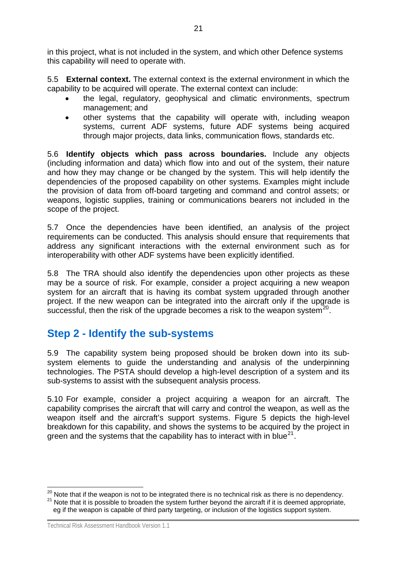<span id="page-24-0"></span>in this project, what is not included in the system, and which other Defence systems this capability will need to operate with.

5.5 **External context.** The external context is the external environment in which the capability to be acquired will operate. The external context can include:

- the legal, regulatory, geophysical and climatic environments, spectrum management; and
- other systems that the capability will operate with, including weapon systems, current ADF systems, future ADF systems being acquired through major projects, data links, communication flows, standards etc.

5.6 **Identify objects which pass across boundaries.** Include any objects (including information and data) which flow into and out of the system, their nature and how they may change or be changed by the system. This will help identify the dependencies of the proposed capability on other systems. Examples might include the provision of data from off-board targeting and command and control assets; or weapons, logistic supplies, training or communications bearers not included in the scope of the project.

5.7 Once the dependencies have been identified, an analysis of the project requirements can be conducted. This analysis should ensure that requirements that address any significant interactions with the external environment such as for interoperability with other ADF systems have been explicitly identified.

5.8 The TRA should also identify the dependencies upon other projects as these may be a source of risk. For example, consider a project acquiring a new weapon system for an aircraft that is having its combat system upgraded through another project. If the new weapon can be integrated into the aircraft only if the upgrade is successful, then the risk of the upgrade becomes a risk to the weapon system<sup>[20](#page-24-1)</sup>.

## **Step 2 - Identify the sub-systems**

5.9 The capability system being proposed should be broken down into its subsystem elements to guide the understanding and analysis of the underpinning technologies. The PSTA should develop a high-level description of a system and its sub-systems to assist with the subsequent analysis process.

5.10 For example, consider a project acquiring a weapon for an aircraft. The capability comprises the aircraft that will carry and control the weapon, as well as the weapon itself and the aircraft's support systems. Figure 5 depicts the high-level breakdown for this capability, and shows the systems to be acquired by the project in green and the systems that the capability has to interact with in blue<sup>[21](#page-24-2)</sup>.

Technical Risk Assessment Handbook Version 1.1

1

<span id="page-24-2"></span><span id="page-24-1"></span><sup>&</sup>lt;sup>20</sup> Note that if the weapon is not to be integrated there is no technical risk as there is no dependency.<br><sup>21</sup> Note that it is possible to broaden the system further beyond the aircraft if it is deemed appropriate, The matric possible to broaden the system further beyond the aircraft if it is deemed appropriate,<br>eq if the weapon is capable of third party targeting, or inclusion of the logistics support system.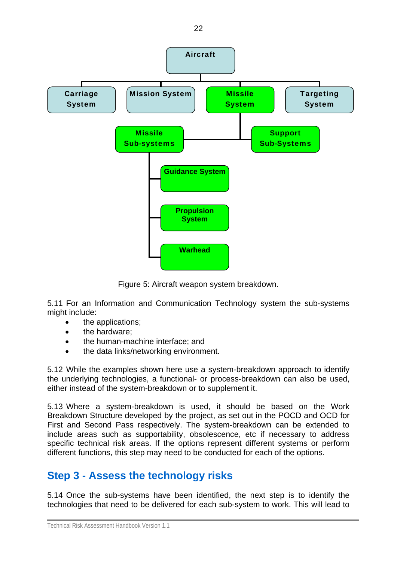<span id="page-25-0"></span>

Figure 5: Aircraft weapon system breakdown.

5.11 For an Information and Communication Technology system the sub-systems might include:

- the applications;
- the hardware;
- the human-machine interface; and
- the data links/networking environment.

5.12 While the examples shown here use a system-breakdown approach to identify the underlying technologies, a functional- or process-breakdown can also be used, either instead of the system-breakdown or to supplement it.

5.13 Where a system-breakdown is used, it should be based on the Work Breakdown Structure developed by the project, as set out in the POCD and OCD for First and Second Pass respectively. The system-breakdown can be extended to include areas such as supportability, obsolescence, etc if necessary to address specific technical risk areas. If the options represent different systems or perform different functions, this step may need to be conducted for each of the options.

## **Step 3 - Assess the technology risks**

5.14 Once the sub-systems have been identified, the next step is to identify the technologies that need to be delivered for each sub-system to work. This will lead to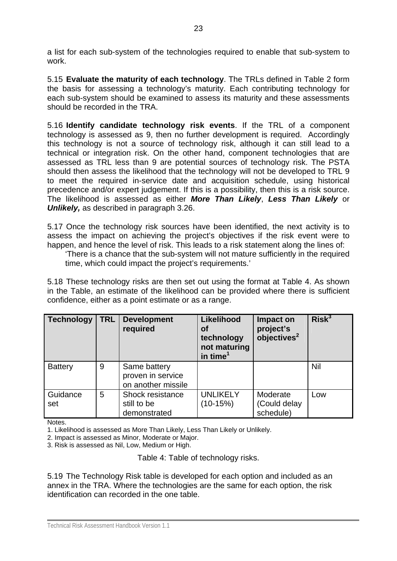a list for each sub-system of the technologies required to enable that sub-system to work.

5.15 **Evaluate the maturity of each technology**. The TRLs defined in Table 2 form the basis for assessing a technology's maturity. Each contributing technology for each sub-system should be examined to assess its maturity and these assessments should be recorded in the TRA.

5.16 **Identify candidate technology risk events**. If the TRL of a component technology is assessed as 9, then no further development is required. Accordingly this technology is not a source of technology risk, although it can still lead to a technical or integration risk. On the other hand, component technologies that are assessed as TRL less than 9 are potential sources of technology risk. The PSTA should then assess the likelihood that the technology will not be developed to TRL 9 to meet the required in-service date and acquisition schedule, using historical precedence and/or expert judgement. If this is a possibility, then this is a risk source. The likelihood is assessed as either *More Than Likely*, *Less Than Likely* or *Unlikely,* as described in paragraph 3.26.

5.17 Once the technology risk sources have been identified, the next activity is to assess the impact on achieving the project's objectives if the risk event were to happen, and hence the level of risk. This leads to a risk statement along the lines of:

'There is a chance that the sub-system will not mature sufficiently in the required time, which could impact the project's requirements.'

5.18 These technology risks are then set out using the format at Table 4. As shown in the Table, an estimate of the likelihood can be provided where there is sufficient confidence, either as a point estimate or as a range.

| <b>Technology</b> | <b>TRL</b> | <b>Development</b><br>required                          | Likelihood<br>Οf<br>technology<br>not maturing<br>in time <sup>1</sup> | Impact on<br>project's<br>objectives <sup>2</sup> | Risk <sup>3</sup> |
|-------------------|------------|---------------------------------------------------------|------------------------------------------------------------------------|---------------------------------------------------|-------------------|
| <b>Battery</b>    | 9          | Same battery<br>proven in service<br>on another missile |                                                                        |                                                   | Nil               |
| Guidance<br>set   | 5          | Shock resistance<br>still to be<br>demonstrated         | <b>UNLIKELY</b><br>$(10-15%)$                                          | Moderate<br>(Could delay<br>schedule)             | Low               |

Notes.

1. Likelihood is assessed as More Than Likely, Less Than Likely or Unlikely.

2. Impact is assessed as Minor, Moderate or Major.

3. Risk is assessed as Nil, Low, Medium or High.

Table 4: Table of technology risks.

5.19 The Technology Risk table is developed for each option and included as an annex in the TRA. Where the technologies are the same for each option, the risk identification can recorded in the one table.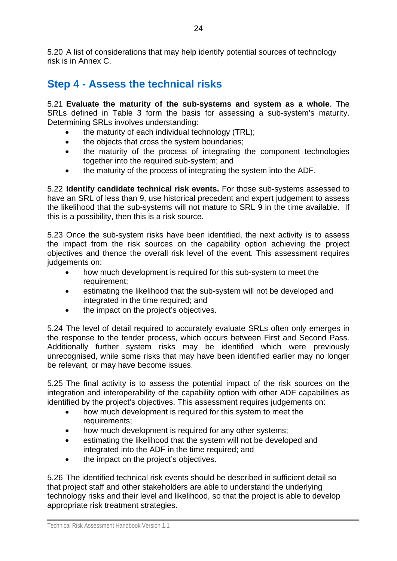<span id="page-27-0"></span>5.20 A list of considerations that may help identify potential sources of technology risk is in Annex C.

## **Step 4 - Assess the technical risks**

5.21 **Evaluate the maturity of the sub-systems and system as a whole**. The SRLs defined in Table 3 form the basis for assessing a sub-system's maturity. Determining SRLs involves understanding:

- the maturity of each individual technology (TRL);
- the objects that cross the system boundaries;
- the maturity of the process of integrating the component technologies together into the required sub-system; and
- the maturity of the process of integrating the system into the ADF.

5.22 **Identify candidate technical risk events.** For those sub-systems assessed to have an SRL of less than 9, use historical precedent and expert judgement to assess the likelihood that the sub-systems will not mature to SRL 9 in the time available. If this is a possibility, then this is a risk source.

5.23 Once the sub-system risks have been identified, the next activity is to assess the impact from the risk sources on the capability option achieving the project objectives and thence the overall risk level of the event. This assessment requires judgements on:

- how much development is required for this sub-system to meet the requirement;
- estimating the likelihood that the sub-system will not be developed and integrated in the time required; and
- the impact on the project's objectives.

5.24 The level of detail required to accurately evaluate SRLs often only emerges in the response to the tender process, which occurs between First and Second Pass. Additionally further system risks may be identified which were previously unrecognised, while some risks that may have been identified earlier may no longer be relevant, or may have become issues.

5.25 The final activity is to assess the potential impact of the risk sources on the integration and interoperability of the capability option with other ADF capabilities as identified by the project's objectives. This assessment requires judgements on:

- how much development is required for this system to meet the requirements:
- how much development is required for any other systems;
- estimating the likelihood that the system will not be developed and integrated into the ADF in the time required; and
- the impact on the project's objectives.

5.26 The identified technical risk events should be described in sufficient detail so that project staff and other stakeholders are able to understand the underlying technology risks and their level and likelihood, so that the project is able to develop appropriate risk treatment strategies.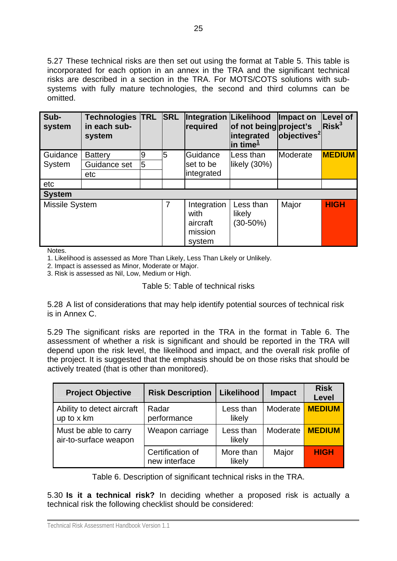5.27 These technical risks are then set out using the format at Table 5. This table is incorporated for each option in an annex in the TRA and the significant technical risks are described in a section in the TRA. For MOTS/COTS solutions with subsystems with fully mature technologies, the second and third columns can be omitted.

| Sub-<br>system | <b>Technologies</b><br>in each sub-<br>system | <b>TRL</b> | <b>SRL</b>     | <b>Integration Likelihood</b><br>required            | of not being project's<br>integrated<br>in time $^{\mathsf{1}}$ | Impact on<br>objectives <sup>2</sup> | Level of<br>$ {\sf Risk}^3 $ |
|----------------|-----------------------------------------------|------------|----------------|------------------------------------------------------|-----------------------------------------------------------------|--------------------------------------|------------------------------|
| Guidance       | <b>Battery</b>                                | 9          | 5              | Guidance                                             | Less than                                                       | Moderate                             | <b>MEDIUM</b>                |
| System         | Guidance set                                  | 5          |                | set to be                                            | likely (30%)                                                    |                                      |                              |
|                | etc                                           |            |                | integrated                                           |                                                                 |                                      |                              |
| etc            |                                               |            |                |                                                      |                                                                 |                                      |                              |
| <b>System</b>  |                                               |            |                |                                                      |                                                                 |                                      |                              |
| Missile System |                                               |            | $\overline{7}$ | Integration<br>with<br>aircraft<br>mission<br>system | Less than<br>likely<br>$(30-50%)$                               | Major                                | <b>HIGH</b>                  |

Notes.

1. Likelihood is assessed as More Than Likely, Less Than Likely or Unlikely.

2. Impact is assessed as Minor, Moderate or Major.

3. Risk is assessed as Nil, Low, Medium or High.

#### Table 5: Table of technical risks

5.28 A list of considerations that may help identify potential sources of technical risk is in Annex C.

5.29 The significant risks are reported in the TRA in the format in Table 6. The assessment of whether a risk is significant and should be reported in the TRA will depend upon the risk level, the likelihood and impact, and the overall risk profile of the project. It is suggested that the emphasis should be on those risks that should be actively treated (that is other than monitored).

| <b>Project Objective</b>                       | <b>Risk Description</b>           | Likelihood          | <b>Impact</b> | <b>Risk</b><br>Level |
|------------------------------------------------|-----------------------------------|---------------------|---------------|----------------------|
| Ability to detect aircraft<br>up to x km       | Radar<br>performance              | Less than<br>likely | Moderate      | <b>MEDIUM</b>        |
| Must be able to carry<br>air-to-surface weapon | Weapon carriage                   | Less than<br>likely | Moderate      | <b>MEDIUM</b>        |
|                                                | Certification of<br>new interface | More than<br>likely | Major         | <b>HIGH</b>          |

Table 6. Description of significant technical risks in the TRA.

5.30 **Is it a technical risk?** In deciding whether a proposed risk is actually a technical risk the following checklist should be considered: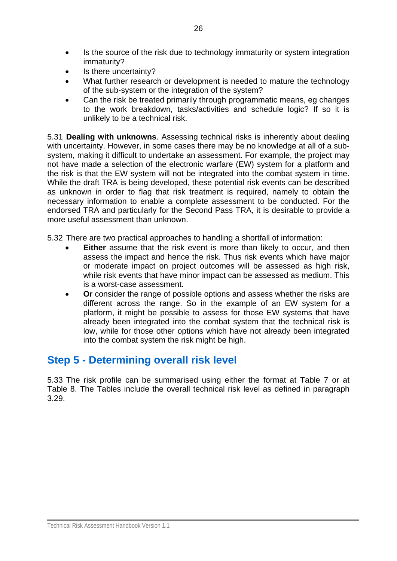- <span id="page-29-0"></span>• Is the source of the risk due to technology immaturity or system integration immaturity?
- Is there uncertainty?
- What further research or development is needed to mature the technology of the sub-system or the integration of the system?
- Can the risk be treated primarily through programmatic means, eg changes to the work breakdown, tasks/activities and schedule logic? If so it is unlikely to be a technical risk.

5.31 **Dealing with unknowns**. Assessing technical risks is inherently about dealing with uncertainty. However, in some cases there may be no knowledge at all of a subsystem, making it difficult to undertake an assessment. For example, the project may not have made a selection of the electronic warfare (EW) system for a platform and the risk is that the EW system will not be integrated into the combat system in time. While the draft TRA is being developed, these potential risk events can be described as unknown in order to flag that risk treatment is required, namely to obtain the necessary information to enable a complete assessment to be conducted. For the endorsed TRA and particularly for the Second Pass TRA, it is desirable to provide a more useful assessment than unknown.

5.32 There are two practical approaches to handling a shortfall of information:

- **Either** assume that the risk event is more than likely to occur, and then assess the impact and hence the risk. Thus risk events which have major or moderate impact on project outcomes will be assessed as high risk, while risk events that have minor impact can be assessed as medium. This is a worst-case assessment.
- **Or** consider the range of possible options and assess whether the risks are different across the range. So in the example of an EW system for a platform, it might be possible to assess for those EW systems that have already been integrated into the combat system that the technical risk is low, while for those other options which have not already been integrated into the combat system the risk might be high.

#### **Step 5 - Determining overall risk level**

5.33 The risk profile can be summarised using either the format at Table 7 or at Table 8. The Tables include the overall technical risk level as defined in paragraph 3.29.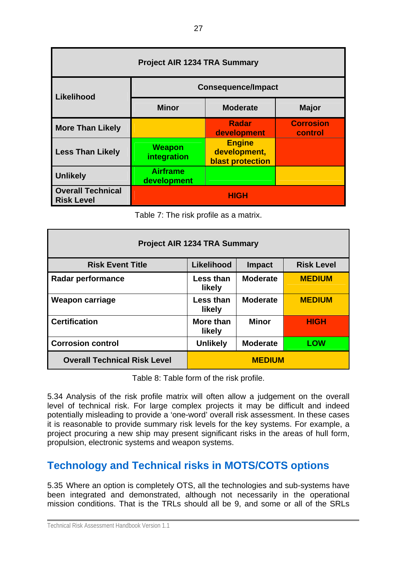<span id="page-30-0"></span>

| <b>Project AIR 1234 TRA Summary</b>           |                                 |                                                          |                             |  |  |  |
|-----------------------------------------------|---------------------------------|----------------------------------------------------------|-----------------------------|--|--|--|
| Likelihood                                    |                                 | <b>Consequence/Impact</b>                                |                             |  |  |  |
|                                               | <b>Minor</b><br><b>Moderate</b> |                                                          | <b>Major</b>                |  |  |  |
| <b>More Than Likely</b>                       |                                 | <b>Radar</b><br>development                              | <b>Corrosion</b><br>control |  |  |  |
| <b>Less Than Likely</b>                       | <b>Weapon</b><br>integration    | <b>Engine</b><br>development,<br><b>blast protection</b> |                             |  |  |  |
| <b>Unlikely</b>                               | <b>Airframe</b><br>development  |                                                          |                             |  |  |  |
| <b>Overall Technical</b><br><b>Risk Level</b> | <b>HIGH</b>                     |                                                          |                             |  |  |  |

Table 7: The risk profile as a matrix.

| <b>Project AIR 1234 TRA Summary</b> |                     |                 |                   |  |
|-------------------------------------|---------------------|-----------------|-------------------|--|
| <b>Risk Event Title</b>             | Likelihood          | <b>Impact</b>   | <b>Risk Level</b> |  |
| Radar performance                   | Less than<br>likely | <b>Moderate</b> | <b>MEDIUM</b>     |  |
| <b>Weapon carriage</b>              | Less than<br>likely | <b>Moderate</b> | <b>MEDIUM</b>     |  |
| <b>Certification</b>                | More than<br>likely | <b>Minor</b>    | <b>HIGH</b>       |  |
| <b>Corrosion control</b>            | <b>Unlikely</b>     | <b>Moderate</b> | LOW               |  |
| <b>Overall Technical Risk Level</b> | <b>MEDIUM</b>       |                 |                   |  |

Table 8: Table form of the risk profile.

5.34 Analysis of the risk profile matrix will often allow a judgement on the overall level of technical risk. For large complex projects it may be difficult and indeed potentially misleading to provide a 'one-word' overall risk assessment. In these cases it is reasonable to provide summary risk levels for the key systems. For example, a project procuring a new ship may present significant risks in the areas of hull form, propulsion, electronic systems and weapon systems.

## **Technology and Technical risks in MOTS/COTS options**

5.35 Where an option is completely OTS, all the technologies and sub-systems have been integrated and demonstrated, although not necessarily in the operational mission conditions. That is the TRLs should all be 9, and some or all of the SRLs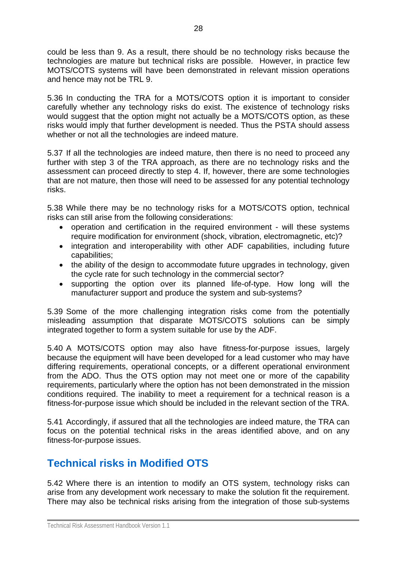<span id="page-31-0"></span>could be less than 9. As a result, there should be no technology risks because the technologies are mature but technical risks are possible. However, in practice few MOTS/COTS systems will have been demonstrated in relevant mission operations and hence may not be TRL 9.

5.36 In conducting the TRA for a MOTS/COTS option it is important to consider carefully whether any technology risks do exist. The existence of technology risks would suggest that the option might not actually be a MOTS/COTS option, as these risks would imply that further development is needed. Thus the PSTA should assess whether or not all the technologies are indeed mature.

5.37 If all the technologies are indeed mature, then there is no need to proceed any further with step 3 of the TRA approach, as there are no technology risks and the assessment can proceed directly to step 4. If, however, there are some technologies that are not mature, then those will need to be assessed for any potential technology risks.

5.38 While there may be no technology risks for a MOTS/COTS option, technical risks can still arise from the following considerations:

- operation and certification in the required environment will these systems require modification for environment (shock, vibration, electromagnetic, etc)?
- integration and interoperability with other ADF capabilities, including future capabilities;
- the ability of the design to accommodate future upgrades in technology, given the cycle rate for such technology in the commercial sector?
- supporting the option over its planned life-of-type. How long will the manufacturer support and produce the system and sub-systems?

5.39 Some of the more challenging integration risks come from the potentially misleading assumption that disparate MOTS/COTS solutions can be simply integrated together to form a system suitable for use by the ADF.

5.40 A MOTS/COTS option may also have fitness-for-purpose issues, largely because the equipment will have been developed for a lead customer who may have differing requirements, operational concepts, or a different operational environment from the ADO. Thus the OTS option may not meet one or more of the capability requirements, particularly where the option has not been demonstrated in the mission conditions required. The inability to meet a requirement for a technical reason is a fitness-for-purpose issue which should be included in the relevant section of the TRA.

5.41 Accordingly, if assured that all the technologies are indeed mature, the TRA can focus on the potential technical risks in the areas identified above, and on any fitness-for-purpose issues.

## **Technical risks in Modified OTS**

5.42 Where there is an intention to modify an OTS system, technology risks can arise from any development work necessary to make the solution fit the requirement. There may also be technical risks arising from the integration of those sub-systems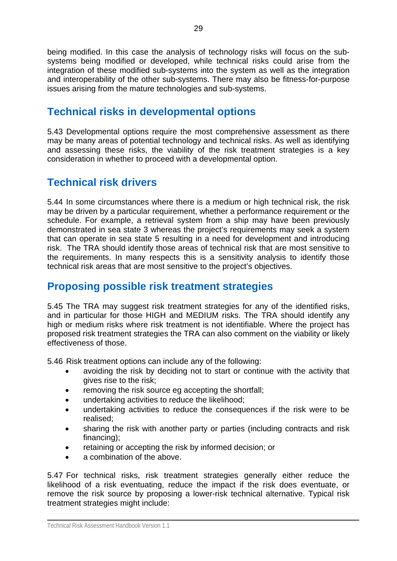<span id="page-32-0"></span>being modified. In this case the analysis of technology risks will focus on the subsystems being modified or developed, while technical risks could arise from the integration of these modified sub-systems into the system as well as the integration and interoperability of the other sub-systems. There may also be fitness-for-purpose issues arising from the mature technologies and sub-systems.

## **Technical risks in developmental options**

5.43 Developmental options require the most comprehensive assessment as there may be many areas of potential technology and technical risks. As well as identifying and assessing these risks, the viability of the risk treatment strategies is a key consideration in whether to proceed with a developmental option.

#### **Technical risk drivers**

5.44 In some circumstances where there is a medium or high technical risk, the risk may be driven by a particular requirement, whether a performance requirement or the schedule. For example, a retrieval system from a ship may have been previously demonstrated in sea state 3 whereas the project's requirements may seek a system that can operate in sea state 5 resulting in a need for development and introducing risk. The TRA should identify those areas of technical risk that are most sensitive to the requirements. In many respects this is a sensitivity analysis to identify those technical risk areas that are most sensitive to the project's objectives.

#### **Proposing possible risk treatment strategies**

5.45 The TRA may suggest risk treatment strategies for any of the identified risks, and in particular for those HIGH and MEDIUM risks. The TRA should identify any high or medium risks where risk treatment is not identifiable. Where the project has proposed risk treatment strategies the TRA can also comment on the viability or likely effectiveness of those.

5.46 Risk treatment options can include any of the following:

- avoiding the risk by deciding not to start or continue with the activity that gives rise to the risk;
- removing the risk source eg accepting the shortfall:
- undertaking activities to reduce the likelihood;
- undertaking activities to reduce the consequences if the risk were to be realised;
- sharing the risk with another party or parties (including contracts and risk financing);
- retaining or accepting the risk by informed decision; or
- a combination of the above.

5.47 For technical risks, risk treatment strategies generally either reduce the likelihood of a risk eventuating, reduce the impact if the risk does eventuate, or remove the risk source by proposing a lower-risk technical alternative. Typical risk treatment strategies might include: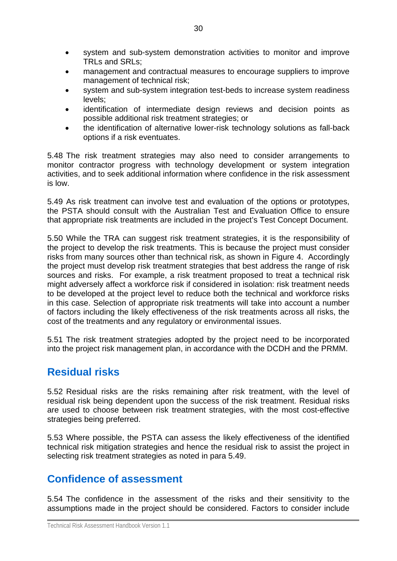- <span id="page-33-0"></span>system and sub-system demonstration activities to monitor and improve TRLs and SRLs;
- management and contractual measures to encourage suppliers to improve management of technical risk;
- system and sub-system integration test-beds to increase system readiness levels;
- identification of intermediate design reviews and decision points as possible additional risk treatment strategies; or
- the identification of alternative lower-risk technology solutions as fall-back options if a risk eventuates.

5.48 The risk treatment strategies may also need to consider arrangements to monitor contractor progress with technology development or system integration activities, and to seek additional information where confidence in the risk assessment is low.

5.49 As risk treatment can involve test and evaluation of the options or prototypes, the PSTA should consult with the Australian Test and Evaluation Office to ensure that appropriate risk treatments are included in the project's Test Concept Document.

5.50 While the TRA can suggest risk treatment strategies, it is the responsibility of the project to develop the risk treatments. This is because the project must consider risks from many sources other than technical risk, as shown in Figure 4. Accordingly the project must develop risk treatment strategies that best address the range of risk sources and risks. For example, a risk treatment proposed to treat a technical risk might adversely affect a workforce risk if considered in isolation: risk treatment needs to be developed at the project level to reduce both the technical and workforce risks in this case. Selection of appropriate risk treatments will take into account a number of factors including the likely effectiveness of the risk treatments across all risks, the cost of the treatments and any regulatory or environmental issues.

5.51 The risk treatment strategies adopted by the project need to be incorporated into the project risk management plan, in accordance with the DCDH and the PRMM.

#### **Residual risks**

5.52 Residual risks are the risks remaining after risk treatment, with the level of residual risk being dependent upon the success of the risk treatment. Residual risks are used to choose between risk treatment strategies, with the most cost-effective strategies being preferred.

5.53 Where possible, the PSTA can assess the likely effectiveness of the identified technical risk mitigation strategies and hence the residual risk to assist the project in selecting risk treatment strategies as noted in para 5.49.

#### **Confidence of assessment**

5.54 The confidence in the assessment of the risks and their sensitivity to the assumptions made in the project should be considered. Factors to consider include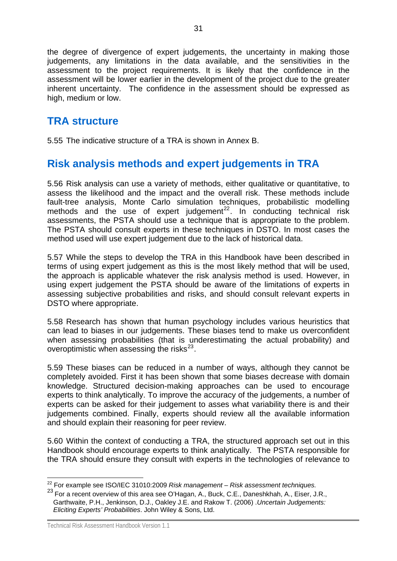<span id="page-34-0"></span>the degree of divergence of expert judgements, the uncertainty in making those judgements, any limitations in the data available, and the sensitivities in the assessment to the project requirements. It is likely that the confidence in the assessment will be lower earlier in the development of the project due to the greater inherent uncertainty. The confidence in the assessment should be expressed as high, medium or low.

#### **TRA structure**

5.55 The indicative structure of a TRA is shown in Annex B.

## **Risk analysis methods and expert judgements in TRA**

5.56 Risk analysis can use a variety of methods, either qualitative or quantitative, to assess the likelihood and the impact and the overall risk. These methods include fault-tree analysis, Monte Carlo simulation techniques, probabilistic modelling methods and the use of expert judgement<sup>[22](#page-34-1)</sup>. In conducting technical risk assessments, the PSTA should use a technique that is appropriate to the problem. The PSTA should consult experts in these techniques in DSTO. In most cases the method used will use expert judgement due to the lack of historical data.

5.57 While the steps to develop the TRA in this Handbook have been described in terms of using expert judgement as this is the most likely method that will be used, the approach is applicable whatever the risk analysis method is used. However, in using expert judgement the PSTA should be aware of the limitations of experts in assessing subjective probabilities and risks, and should consult relevant experts in DSTO where appropriate.

5.58 Research has shown that human psychology includes various heuristics that can lead to biases in our judgements. These biases tend to make us overconfident when assessing probabilities (that is underestimating the actual probability) and overoptimistic when assessing the risks $^{23}$  $^{23}$  $^{23}$ .

5.59 These biases can be reduced in a number of ways, although they cannot be completely avoided. First it has been shown that some biases decrease with domain knowledge. Structured decision-making approaches can be used to encourage experts to think analytically. To improve the accuracy of the judgements, a number of experts can be asked for their judgement to asses what variability there is and their judgements combined. Finally, experts should review all the available information and should explain their reasoning for peer review.

5.60 Within the context of conducting a TRA, the structured approach set out in this Handbook should encourage experts to think analytically. The PSTA responsible for the TRA should ensure they consult with experts in the technologies of relevance to

Technical Risk Assessment Handbook Version 1.1

1

<span id="page-34-1"></span><sup>22</sup> For example see ISO/IEC 31010:2009 *Risk management – Risk assessment techniques.*

<span id="page-34-2"></span><sup>&</sup>lt;sup>23</sup> For a recent overview of this area see O'Hagan, A., Buck, C.E., Daneshkhah, A., Eiser, J.R., Garthwaite, P.H., Jenkinson, D.J., Oakley J.E. and Rakow T. (2006) .*Uncertain Judgements: Eliciting Experts' Probabilities*. John Wiley & Sons, Ltd.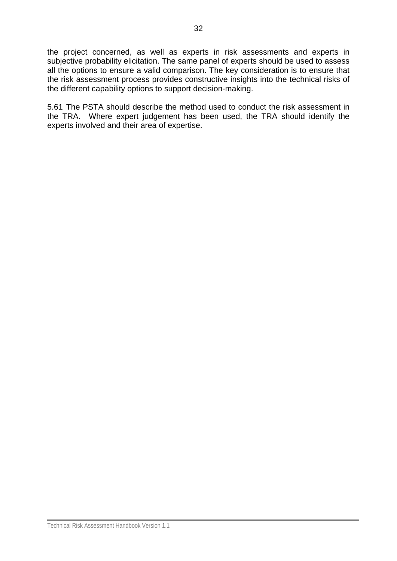the project concerned, as well as experts in risk assessments and experts in subjective probability elicitation. The same panel of experts should be used to assess all the options to ensure a valid comparison. The key consideration is to ensure that the risk assessment process provides constructive insights into the technical risks of the different capability options to support decision-making.

5.61 The PSTA should describe the method used to conduct the risk assessment in the TRA. Where expert judgement has been used, the TRA should identify the experts involved and their area of expertise.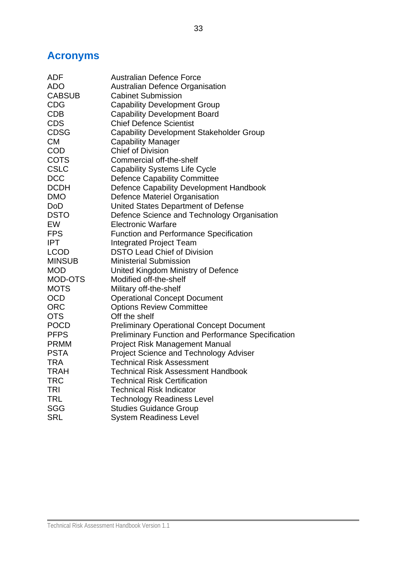#### <span id="page-36-0"></span>**Acronyms**

| <b>ADF</b>    | <b>Australian Defence Force</b>                           |
|---------------|-----------------------------------------------------------|
| <b>ADO</b>    | <b>Australian Defence Organisation</b>                    |
| <b>CABSUB</b> | <b>Cabinet Submission</b>                                 |
| <b>CDG</b>    | <b>Capability Development Group</b>                       |
| <b>CDB</b>    | <b>Capability Development Board</b>                       |
| <b>CDS</b>    | <b>Chief Defence Scientist</b>                            |
| <b>CDSG</b>   | <b>Capability Development Stakeholder Group</b>           |
| <b>CM</b>     | <b>Capability Manager</b>                                 |
| <b>COD</b>    | <b>Chief of Division</b>                                  |
| <b>COTS</b>   | Commercial off-the-shelf                                  |
| <b>CSLC</b>   | <b>Capability Systems Life Cycle</b>                      |
| <b>DCC</b>    | <b>Defence Capability Committee</b>                       |
| <b>DCDH</b>   | Defence Capability Development Handbook                   |
| <b>DMO</b>    | Defence Materiel Organisation                             |
| <b>DoD</b>    | United States Department of Defense                       |
| <b>DSTO</b>   | Defence Science and Technology Organisation               |
| EW            | <b>Electronic Warfare</b>                                 |
| <b>FPS</b>    | <b>Function and Performance Specification</b>             |
| <b>IPT</b>    | <b>Integrated Project Team</b>                            |
| <b>LCOD</b>   | <b>DSTO Lead Chief of Division</b>                        |
| <b>MINSUB</b> | <b>Ministerial Submission</b>                             |
| <b>MOD</b>    | United Kingdom Ministry of Defence                        |
| MOD-OTS       | Modified off-the-shelf                                    |
| <b>MOTS</b>   | Military off-the-shelf                                    |
| <b>OCD</b>    | <b>Operational Concept Document</b>                       |
| <b>ORC</b>    | <b>Options Review Committee</b>                           |
| <b>OTS</b>    | Off the shelf                                             |
| <b>POCD</b>   | <b>Preliminary Operational Concept Document</b>           |
| <b>PFPS</b>   | <b>Preliminary Function and Performance Specification</b> |
| <b>PRMM</b>   | <b>Project Risk Management Manual</b>                     |
| <b>PSTA</b>   | Project Science and Technology Adviser                    |
| <b>TRA</b>    | <b>Technical Risk Assessment</b>                          |
| <b>TRAH</b>   | <b>Technical Risk Assessment Handbook</b>                 |
| TRC           | <b>Technical Risk Certification</b>                       |
| TRI           | <b>Technical Risk Indicator</b>                           |
| <b>TRL</b>    | <b>Technology Readiness Level</b>                         |
| <b>SGG</b>    | <b>Studies Guidance Group</b>                             |
| <b>SRL</b>    | <b>System Readiness Level</b>                             |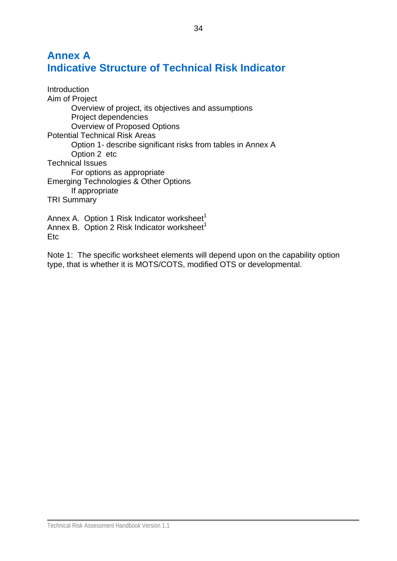#### <span id="page-37-0"></span>**Annex A Indicative Structure of Technical Risk Indicator**

**Introduction** Aim of Project Overview of project, its objectives and assumptions Project dependencies Overview of Proposed Options Potential Technical Risk Areas Option 1- describe significant risks from tables in Annex A Option 2 etc Technical Issues For options as appropriate Emerging Technologies & Other Options If appropriate TRI Summary Annex A. Option 1 Risk Indicator worksheet $1$ Annex B. Option 2 Risk Indicator worksheet $1$ 

Etc

Note 1: The specific worksheet elements will depend upon on the capability option type, that is whether it is MOTS/COTS, modified OTS or developmental.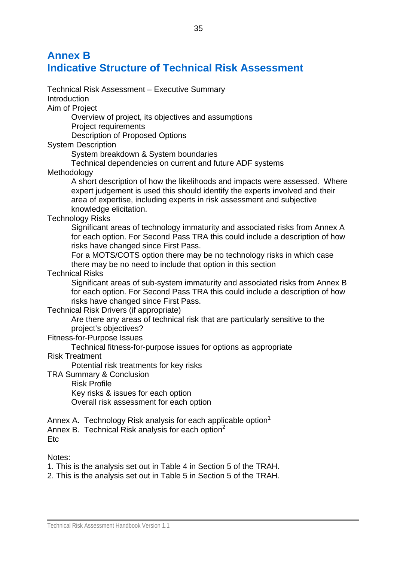#### <span id="page-38-0"></span>**Annex B Indicative Structure of Technical Risk Assessment**

Technical Risk Assessment – Executive Summary **Introduction** Aim of Project Overview of project, its objectives and assumptions Project requirements Description of Proposed Options System Description System breakdown & System boundaries Technical dependencies on current and future ADF systems **Methodology** A short description of how the likelihoods and impacts were assessed. Where expert judgement is used this should identify the experts involved and their area of expertise, including experts in risk assessment and subjective knowledge elicitation. Technology Risks Significant areas of technology immaturity and associated risks from Annex A for each option. For Second Pass TRA this could include a description of how risks have changed since First Pass. For a MOTS/COTS option there may be no technology risks in which case there may be no need to include that option in this section Technical Risks Significant areas of sub-system immaturity and associated risks from Annex B for each option. For Second Pass TRA this could include a description of how risks have changed since First Pass. Technical Risk Drivers (if appropriate) Are there any areas of technical risk that are particularly sensitive to the project's objectives? Fitness-for-Purpose Issues Technical fitness-for-purpose issues for options as appropriate Risk Treatment Potential risk treatments for key risks TRA Summary & Conclusion Risk Profile Key risks & issues for each option Overall risk assessment for each option Annex A. Technology Risk analysis for each applicable option<sup>1</sup> Annex B. Technical Risk analysis for each option<sup>2</sup> Etc

Notes:

1. This is the analysis set out in Table 4 in Section 5 of the TRAH.

2. This is the analysis set out in Table 5 in Section 5 of the TRAH.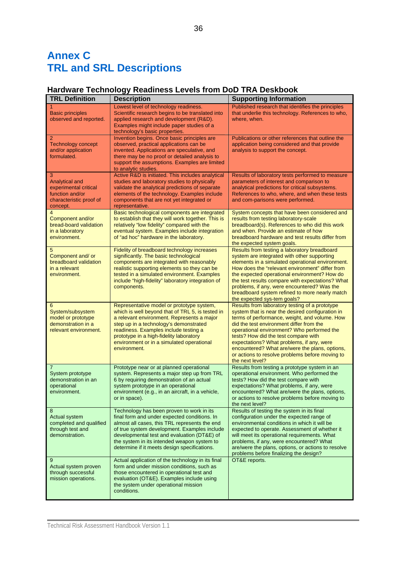#### <span id="page-39-0"></span>**Annex C TRL and SRL Descriptions**

#### **Hardware Technology Readiness Levels from DoD TRA Deskbook**

| <b>TRL Definition</b>                                                                                  | <b>Description</b>                                                                                                                                                                                                                                                                                                                       | <b>Supporting Information</b>                                                                                                                                                                                                                                                                                                                                                                                                                              |
|--------------------------------------------------------------------------------------------------------|------------------------------------------------------------------------------------------------------------------------------------------------------------------------------------------------------------------------------------------------------------------------------------------------------------------------------------------|------------------------------------------------------------------------------------------------------------------------------------------------------------------------------------------------------------------------------------------------------------------------------------------------------------------------------------------------------------------------------------------------------------------------------------------------------------|
| <b>Basic principles</b><br>observed and reported.                                                      | Lowest level of technology readiness.<br>Scientific research begins to be translated into<br>applied research and development (R&D).<br>Examples might include paper studies of a<br>technology's basic properties.                                                                                                                      | Published research that identifies the principles<br>that underlie this technology. References to who,<br>where, when.                                                                                                                                                                                                                                                                                                                                     |
| 2<br><b>Technology concept</b><br>and/or application<br>formulated.                                    | Invention begins. Once basic principles are<br>observed, practical applications can be<br>invented. Applications are speculative, and<br>there may be no proof or detailed analysis to<br>support the assumptions. Examples are limited<br>to analytic studies.                                                                          | Publications or other references that outline the<br>application being considered and that provide<br>analysis to support the concept.                                                                                                                                                                                                                                                                                                                     |
| 3<br>Analytical and<br>experimental critical<br>function and/or<br>characteristic proof of<br>concept. | Active R&D is initiated. This includes analytical<br>studies and laboratory studies to physically<br>validate the analytical predictions of separate<br>elements of the technology. Examples include<br>components that are not yet integrated or<br>representative.                                                                     | Results of laboratory tests performed to measure<br>parameters of interest and comparison to<br>analytical predictions for critical subsystems.<br>References to who, where, and when these tests<br>and com-parisons were performed.                                                                                                                                                                                                                      |
| 4<br>Component and/or<br>bread-board validation<br>in a laboratory<br>environment.                     | Basic technological components are integrated<br>to establish that they will work together. This is<br>relatively "low fidelity" compared with the<br>eventual system. Examples include integration<br>of "ad hoc" hardware in the laboratory.                                                                                           | System concepts that have been considered and<br>results from testing laboratory-scale<br>breadboard(s). References to who did this work<br>and when. Provide an estimate of how<br>breadboard hardware and test results differ from<br>the expected system goals.                                                                                                                                                                                         |
| 5<br>Component and/or<br>breadboard validation<br>in a relevant<br>environment.                        | Fidelity of breadboard technology increases<br>significantly. The basic technological<br>components are integrated with reasonably<br>realistic supporting elements so they can be<br>tested in a simulated environment. Examples<br>include "high-fidelity" laboratory integration of<br>components.                                    | Results from testing a laboratory breadboard<br>system are integrated with other supporting<br>elements in a simulated operational environment.<br>How does the "relevant environment" differ from<br>the expected operational environment? How do<br>the test results compare with expectations? What<br>problems, if any, were encountered? Was the<br>breadboard system refined to more nearly match<br>the expected sys-tem goals?                     |
| 6<br>System/subsystem<br>model or prototype<br>demonstration in a<br>relevant environment.             | Representative model or prototype system,<br>which is well beyond that of TRL 5, is tested in<br>a relevant environment. Represents a major<br>step up in a technology's demonstrated<br>readiness. Examples include testing a<br>prototype in a high-fidelity laboratory<br>environment or in a simulated operational<br>environment.   | Results from laboratory testing of a prototype<br>system that is near the desired configuration in<br>terms of performance, weight, and volume. How<br>did the test environment differ from the<br>operational environment? Who performed the<br>tests? How did the test compare with<br>expectations? What problems, if any, were<br>encountered? What are/were the plans, options,<br>or actions to resolve problems before moving to<br>the next level? |
| $\overline{7}$<br>System prototype<br>demonstration in an<br>operational<br>environment.               | Prototype near or at planned operational<br>system. Represents a major step up from TRL<br>6 by requiring demonstration of an actual<br>system prototype in an operational<br>environment (e.g., in an aircraft, in a vehicle,<br>or in space).                                                                                          | Results from testing a prototype system in an<br>operational environment. Who performed the<br>tests? How did the test compare with<br>expectations? What problems, if any, were<br>encountered? What are/were the plans, options,<br>or actions to resolve problems before moving to<br>the next level?                                                                                                                                                   |
| 8<br><b>Actual system</b><br>completed and qualified<br>through test and<br>demonstration.             | Technology has been proven to work in its<br>final form and under expected conditions. In<br>almost all cases, this TRL represents the end<br>of true system development. Examples include<br>developmental test and evaluation (DT&E) of<br>the system in its intended weapon system to<br>determine if it meets design specifications. | Results of testing the system in its final<br>configuration under the expected range of<br>environmental conditions in which it will be<br>expected to operate. Assessment of whether it<br>will meet its operational requirements. What<br>problems, if any, were encountered? What<br>are/were the plans, options, or actions to resolve<br>problems before finalizing the design?                                                                       |
| 9<br>Actual system proven<br>through successful<br>mission operations.                                 | Actual application of the technology in its final<br>form and under mission conditions, such as<br>those encountered in operational test and<br>evaluation (OT&E). Examples include using<br>the system under operational mission<br>conditions.                                                                                         | OT&E reports.                                                                                                                                                                                                                                                                                                                                                                                                                                              |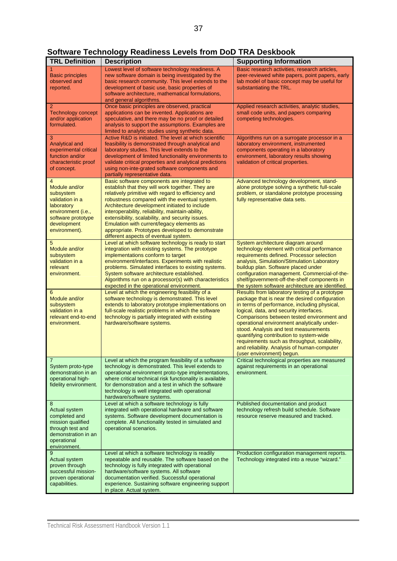#### **Software Technology Readiness Levels from DoD TRA Deskbook**

| <b>TRL Definition</b>                                                                                                                        | <b>Description</b>                                                                                                                                                                                                                                                                                                                                                                                                                                                                                        | <b>Supporting Information</b>                                                                                                                                                                                                                                                                                                                                                                                                                                                                             |
|----------------------------------------------------------------------------------------------------------------------------------------------|-----------------------------------------------------------------------------------------------------------------------------------------------------------------------------------------------------------------------------------------------------------------------------------------------------------------------------------------------------------------------------------------------------------------------------------------------------------------------------------------------------------|-----------------------------------------------------------------------------------------------------------------------------------------------------------------------------------------------------------------------------------------------------------------------------------------------------------------------------------------------------------------------------------------------------------------------------------------------------------------------------------------------------------|
| <b>Basic principles</b><br>observed and<br>reported.                                                                                         | Lowest level of software technology readiness. A<br>new software domain is being investigated by the<br>basic research community. This level extends to the<br>development of basic use, basic properties of<br>software architecture, mathematical formulations,<br>and general algorithms.                                                                                                                                                                                                              | Basic research activities, research articles,<br>peer-reviewed white papers, point papers, early<br>lab model of basic concept may be useful for<br>substantiating the TRL.                                                                                                                                                                                                                                                                                                                               |
| 2<br><b>Technology concept</b><br>and/or application<br>formulated.                                                                          | Once basic principles are observed, practical<br>applications can be invented. Applications are<br>speculative, and there may be no proof or detailed<br>analysis to support the assumptions. Examples are<br>limited to analytic studies using synthetic data.                                                                                                                                                                                                                                           | Applied research activities, analytic studies,<br>small code units, and papers comparing<br>competing technologies.                                                                                                                                                                                                                                                                                                                                                                                       |
| 3<br><b>Analytical and</b><br>experimental critical<br>function and/or<br>characteristic proof<br>of concept.                                | Active R&D is initiated. The level at which scientific<br>feasibility is demonstrated through analytical and<br>laboratory studies. This level extends to the<br>development of limited functionality environments to<br>validate critical properties and analytical predictions<br>using non-inte-grated software components and<br>partially representative data.                                                                                                                                       | Algorithms run on a surrogate processor in a<br>laboratory environment, instrumented<br>components operating in a laboratory<br>environment, laboratory results showing<br>validation of critical properties.                                                                                                                                                                                                                                                                                             |
| 4<br>Module and/or<br>subsystem<br>validation in a<br>laboratory<br>environment (i.e.,<br>software prototype<br>development<br>environment). | Basic software components are integrated to<br>establish that they will work together. They are<br>relatively primitive with regard to efficiency and<br>robustness compared with the eventual system.<br>Architecture development initiated to include<br>interoperability, reliability, maintain-ability,<br>extensibility, scalability, and security issues.<br>Emulation with current/legacy elements as<br>appropriate. Prototypes developed to demonstrate<br>different aspects of eventual system. | Advanced technology development, stand-<br>alone prototype solving a synthetic full-scale<br>problem, or standalone prototype processing<br>fully representative data sets.                                                                                                                                                                                                                                                                                                                               |
| 5<br>Module and/or<br>subsystem<br>validation in a<br>relevant<br>environment.                                                               | Level at which software technology is ready to start<br>integration with existing systems. The prototype<br>implementations conform to target<br>environment/interfaces. Experiments with realistic<br>problems. Simulated interfaces to existing systems.<br>System software architecture established.<br>Algorithms run on a processor(s) with characteristics<br>expected in the operational environment.                                                                                              | System architecture diagram around<br>technology element with critical performance<br>requirements defined. Processor selection<br>analysis, Simulation/Stimulation Laboratory<br>buildup plan. Software placed under<br>configuration management. Commercial-of-the-<br>shelf/government-off-the-shelf components in<br>the system software architecture are identified.                                                                                                                                 |
| 6<br>Module and/or<br>subsystem<br>validation in a<br>relevant end-to-end<br>environment.                                                    | Level at which the engineering feasibility of a<br>software technology is demonstrated. This level<br>extends to laboratory prototype implementations on<br>full-scale realistic problems in which the software<br>technology is partially integrated with existing<br>hardware/software systems.                                                                                                                                                                                                         | Results from laboratory testing of a prototype<br>package that is near the desired configuration<br>in terms of performance, including physical,<br>logical, data, and security interfaces.<br>Comparisons between tested environment and<br>operational environment analytically under-<br>stood. Analysis and test measurements<br>quantifying contribution to system-wide<br>requirements such as throughput, scalability,<br>and reliability. Analysis of human-computer<br>(user environment) begun. |
| $\overline{7}$<br>System proto-type<br>demonstration in an<br>operational high-<br>fidelity environment.                                     | Level at which the program feasibility of a software<br>technology is demonstrated. This level extends to<br>operational environment proto-type implementations,<br>where critical technical risk functionality is available<br>for demonstration and a test in which the software<br>technology is well integrated with operational<br>hardware/software systems.                                                                                                                                        | Critical technological properties are measured<br>against requirements in an operational<br>environment.                                                                                                                                                                                                                                                                                                                                                                                                  |
| 8<br>Actual system<br>completed and<br>mission qualified<br>through test and<br>demonstration in an<br>operational<br>environment.           | Level at which a software technology is fully<br>integrated with operational hardware and software<br>systems. Software development documentation is<br>complete. All functionality tested in simulated and<br>operational scenarios.                                                                                                                                                                                                                                                                     | Published documentation and product<br>technology refresh build schedule. Software<br>resource reserve measured and tracked.                                                                                                                                                                                                                                                                                                                                                                              |
| 9<br>Actual system<br>proven through<br>successful mission-<br>proven operational<br>capabilities.                                           | Level at which a software technology is readily<br>repeatable and reusable. The software based on the<br>technology is fully integrated with operational<br>hardware/software systems. All software<br>documentation verified. Successful operational<br>experience. Sustaining software engineering support<br>in place. Actual system.                                                                                                                                                                  | Production configuration management reports.<br>Technology integrated into a reuse "wizard."                                                                                                                                                                                                                                                                                                                                                                                                              |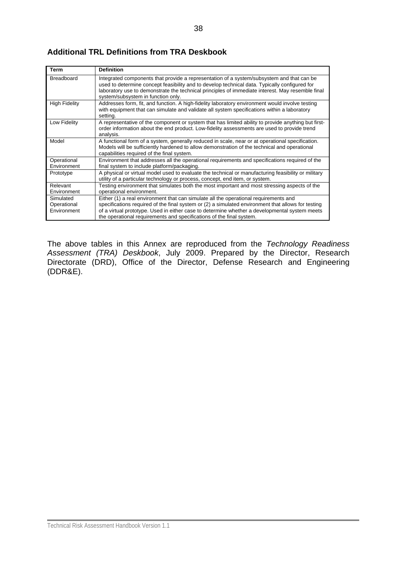| <b>Term</b>                             | <b>Definition</b>                                                                                                                                                                                                                                                                                                                                                   |
|-----------------------------------------|---------------------------------------------------------------------------------------------------------------------------------------------------------------------------------------------------------------------------------------------------------------------------------------------------------------------------------------------------------------------|
| <b>Breadboard</b>                       | Integrated components that provide a representation of a system/subsystem and that can be<br>used to determine concept feasibility and to develop technical data. Typically configured for<br>laboratory use to demonstrate the technical principles of immediate interest. May resemble final<br>system/subsystem in function only.                                |
| <b>High Fidelity</b>                    | Addresses form, fit, and function. A high-fidelity laboratory environment would involve testing<br>with equipment that can simulate and validate all system specifications within a laboratory<br>setting.                                                                                                                                                          |
| Low Fidelity                            | A representative of the component or system that has limited ability to provide anything but first-<br>order information about the end product. Low-fidelity assessments are used to provide trend<br>analysis.                                                                                                                                                     |
| Model                                   | A functional form of a system, generally reduced in scale, near or at operational specification.<br>Models will be sufficiently hardened to allow demonstration of the technical and operational<br>capabilities required of the final system.                                                                                                                      |
| Operational<br>Environment              | Environment that addresses all the operational requirements and specifications required of the<br>final system to include platform/packaging.                                                                                                                                                                                                                       |
| Prototype                               | A physical or virtual model used to evaluate the technical or manufacturing feasibility or military<br>utility of a particular technology or process, concept, end item, or system.                                                                                                                                                                                 |
| Relevant<br>Environment                 | Testing environment that simulates both the most important and most stressing aspects of the<br>operational environment.                                                                                                                                                                                                                                            |
| Simulated<br>Operational<br>Environment | Either (1) a real environment that can simulate all the operational requirements and<br>specifications required of the final system or (2) a simulated environment that allows for testing<br>of a virtual prototype. Used in either case to determine whether a developmental system meets<br>the operational requirements and specifications of the final system. |

38

#### **Additional TRL Definitions from TRA Deskbook**

The above tables in this Annex are reproduced from the *Technology Readiness Assessment (TRA) Deskbook*, July 2009. Prepared by the Director, Research Directorate (DRD), Office of the Director, Defense Research and Engineering (DDR&E).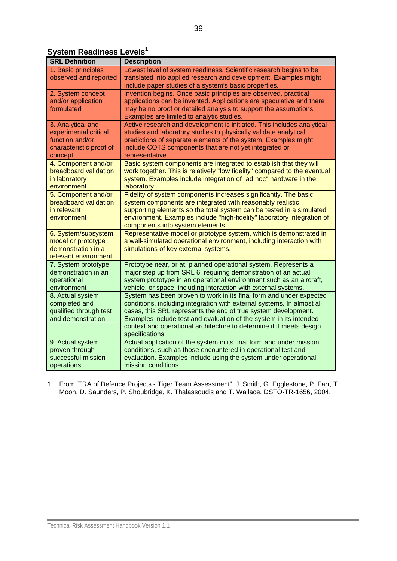#### **System Readiness Levels<sup>1</sup>**

| <b>SRL Definition</b>                                                                               | <b>Description</b>                                                                                                                                                                                                                                                                                                                                                               |
|-----------------------------------------------------------------------------------------------------|----------------------------------------------------------------------------------------------------------------------------------------------------------------------------------------------------------------------------------------------------------------------------------------------------------------------------------------------------------------------------------|
| 1. Basic principles<br>observed and reported                                                        | Lowest level of system readiness. Scientific research begins to be<br>translated into applied research and development. Examples might<br>include paper studies of a system's basic properties.                                                                                                                                                                                  |
| 2. System concept<br>and/or application<br>formulated                                               | Invention begins. Once basic principles are observed, practical<br>applications can be invented. Applications are speculative and there<br>may be no proof or detailed analysis to support the assumptions.<br>Examples are limited to analytic studies.                                                                                                                         |
| 3. Analytical and<br>experimental critical<br>function and/or<br>characteristic proof of<br>concept | Active research and development is initiated. This includes analytical<br>studies and laboratory studies to physically validate analytical<br>predictions of separate elements of the system. Examples might<br>include COTS components that are not yet integrated or<br>representative.                                                                                        |
| 4. Component and/or<br>breadboard validation<br>in laboratory<br>environment                        | Basic system components are integrated to establish that they will<br>work together. This is relatively "low fidelity" compared to the eventual<br>system. Examples include integration of "ad hoc" hardware in the<br>laboratory.                                                                                                                                               |
| 5. Component and/or<br>breadboard validation<br>in relevant<br>environment                          | Fidelity of system components increases significantly. The basic<br>system components are integrated with reasonably realistic<br>supporting elements so the total system can be tested in a simulated<br>environment. Examples include "high-fidelity" laboratory integration of<br>components into system elements.                                                            |
| 6. System/subsystem<br>model or prototype<br>demonstration in a<br>relevant environment             | Representative model or prototype system, which is demonstrated in<br>a well-simulated operational environment, including interaction with<br>simulations of key external systems.                                                                                                                                                                                               |
| 7. System prototype<br>demonstration in an<br>operational<br>environment                            | Prototype near, or at, planned operational system. Represents a<br>major step up from SRL 6, requiring demonstration of an actual<br>system prototype in an operational environment such as an aircraft,<br>vehicle, or space, including interaction with external systems.                                                                                                      |
| 8. Actual system<br>completed and<br>qualified through test<br>and demonstration                    | System has been proven to work in its final form and under expected<br>conditions, including integration with external systems. In almost all<br>cases, this SRL represents the end of true system development.<br>Examples include test and evaluation of the system in its intended<br>context and operational architecture to determine if it meets design<br>specifications. |
| 9. Actual system<br>proven through<br>successful mission<br>operations                              | Actual application of the system in its final form and under mission<br>conditions, such as those encountered in operational test and<br>evaluation. Examples include using the system under operational<br>mission conditions.                                                                                                                                                  |

1. From 'TRA of Defence Projects - Tiger Team Assessment", J. Smith, G. Egglestone, P. Farr, T. Moon, D. Saunders, P. Shoubridge, K. Thalassoudis and T. Wallace, DSTO-TR-1656, 2004.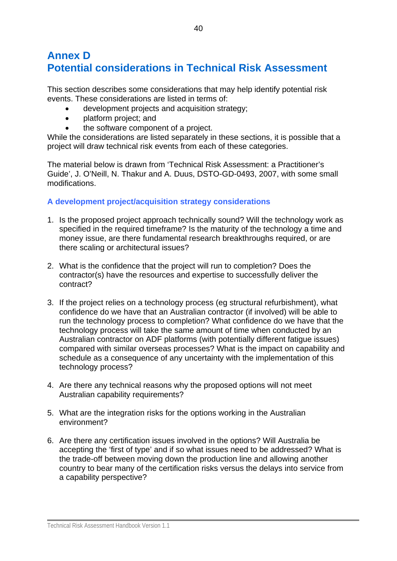#### <span id="page-43-0"></span>**Annex D Potential considerations in Technical Risk Assessment**

This section describes some considerations that may help identify potential risk events. These considerations are listed in terms of:

- development projects and acquisition strategy;
- platform project; and
- the software component of a project.

While the considerations are listed separately in these sections, it is possible that a project will draw technical risk events from each of these categories.

The material below is drawn from 'Technical Risk Assessment: a Practitioner's Guide', J. O'Neill, N. Thakur and A. Duus, DSTO-GD-0493, 2007, with some small modifications.

#### **A development project/acquisition strategy considerations**

- 1. Is the proposed project approach technically sound? Will the technology work as specified in the required timeframe? Is the maturity of the technology a time and money issue, are there fundamental research breakthroughs required, or are there scaling or architectural issues?
- 2. What is the confidence that the project will run to completion? Does the contractor(s) have the resources and expertise to successfully deliver the contract?
- 3. If the project relies on a technology process (eg structural refurbishment), what confidence do we have that an Australian contractor (if involved) will be able to run the technology process to completion? What confidence do we have that the technology process will take the same amount of time when conducted by an Australian contractor on ADF platforms (with potentially different fatigue issues) compared with similar overseas processes? What is the impact on capability and schedule as a consequence of any uncertainty with the implementation of this technology process?
- 4. Are there any technical reasons why the proposed options will not meet Australian capability requirements?
- 5. What are the integration risks for the options working in the Australian environment?
- 6. Are there any certification issues involved in the options? Will Australia be accepting the 'first of type' and if so what issues need to be addressed? What is the trade-off between moving down the production line and allowing another country to bear many of the certification risks versus the delays into service from a capability perspective?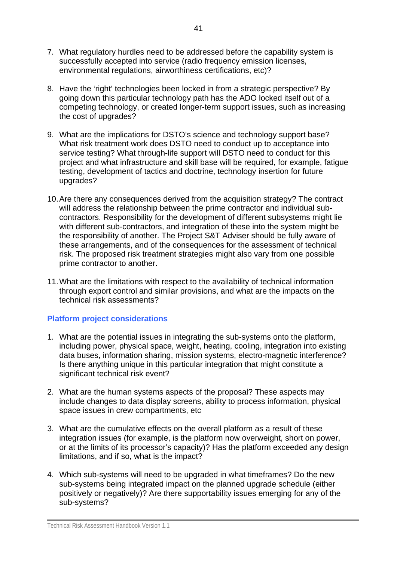- 7. What regulatory hurdles need to be addressed before the capability system is successfully accepted into service (radio frequency emission licenses, environmental regulations, airworthiness certifications, etc)?
- 8. Have the 'right' technologies been locked in from a strategic perspective? By going down this particular technology path has the ADO locked itself out of a competing technology, or created longer-term support issues, such as increasing the cost of upgrades?
- 9. What are the implications for DSTO's science and technology support base? What risk treatment work does DSTO need to conduct up to acceptance into service testing? What through-life support will DSTO need to conduct for this project and what infrastructure and skill base will be required, for example, fatigue testing, development of tactics and doctrine, technology insertion for future upgrades?
- 10. Are there any consequences derived from the acquisition strategy? The contract will address the relationship between the prime contractor and individual subcontractors. Responsibility for the development of different subsystems might lie with different sub-contractors, and integration of these into the system might be the responsibility of another. The Project S&T Adviser should be fully aware of these arrangements, and of the consequences for the assessment of technical risk. The proposed risk treatment strategies might also vary from one possible prime contractor to another.
- 11. What are the limitations with respect to the availability of technical information through export control and similar provisions, and what are the impacts on the technical risk assessments?

#### **Platform project considerations**

- 1. What are the potential issues in integrating the sub-systems onto the platform, including power, physical space, weight, heating, cooling, integration into existing data buses, information sharing, mission systems, electro-magnetic interference? Is there anything unique in this particular integration that might constitute a significant technical risk event?
- 2. What are the human systems aspects of the proposal? These aspects may include changes to data display screens, ability to process information, physical space issues in crew compartments, etc
- 3. What are the cumulative effects on the overall platform as a result of these integration issues (for example, is the platform now overweight, short on power, or at the limits of its processor's capacity)? Has the platform exceeded any design limitations, and if so, what is the impact?
- 4. Which sub-systems will need to be upgraded in what timeframes? Do the new sub-systems being integrated impact on the planned upgrade schedule (either positively or negatively)? Are there supportability issues emerging for any of the sub-systems?